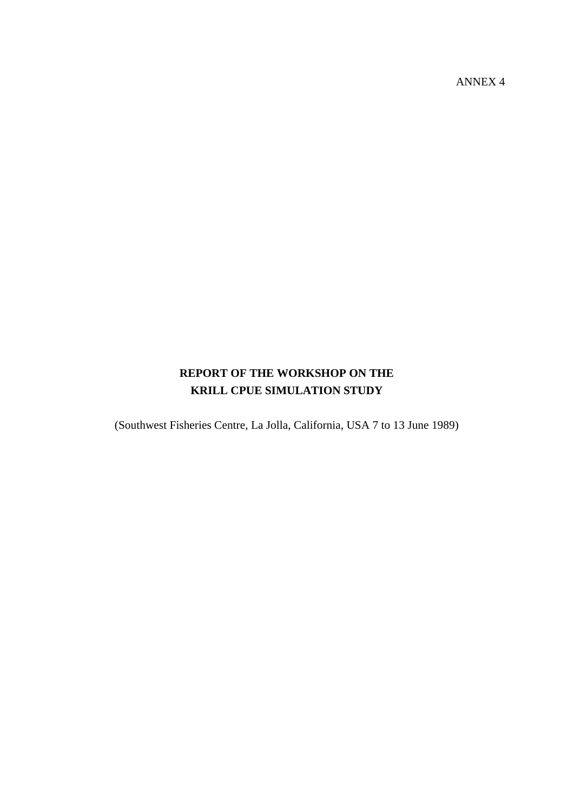ANNEX 4

# **REPORT OF THE WORKSHOP ON THE KRILL CPUE SIMULATION STUDY**

(Southwest Fisheries Centre, La Jolla, California, USA 7 to 13 June 1989)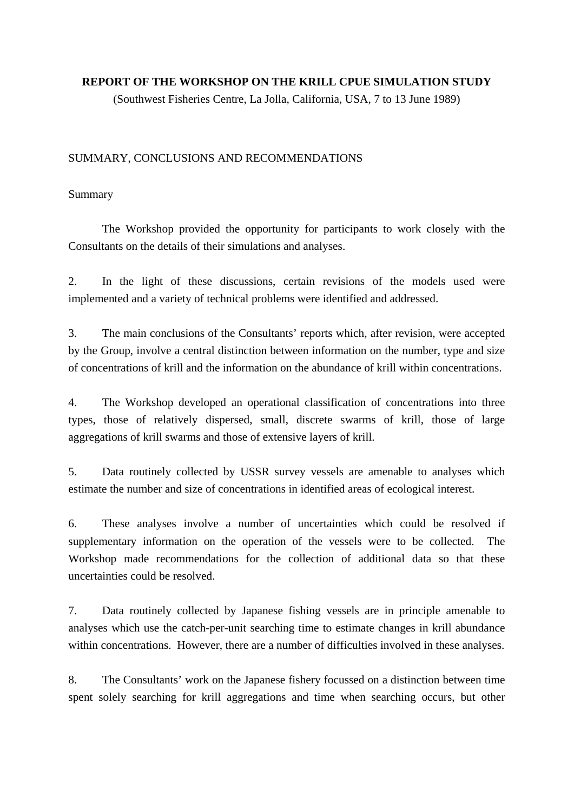### **REPORT OF THE WORKSHOP ON THE KRILL CPUE SIMULATION STUDY**

(Southwest Fisheries Centre, La Jolla, California, USA, 7 to 13 June 1989)

### SUMMARY, CONCLUSIONS AND RECOMMENDATIONS

### Summary

 The Workshop provided the opportunity for participants to work closely with the Consultants on the details of their simulations and analyses.

2. In the light of these discussions, certain revisions of the models used were implemented and a variety of technical problems were identified and addressed.

3. The main conclusions of the Consultants' reports which, after revision, were accepted by the Group, involve a central distinction between information on the number, type and size of concentrations of krill and the information on the abundance of krill within concentrations.

4. The Workshop developed an operational classification of concentrations into three types, those of relatively dispersed, small, discrete swarms of krill, those of large aggregations of krill swarms and those of extensive layers of krill.

5. Data routinely collected by USSR survey vessels are amenable to analyses which estimate the number and size of concentrations in identified areas of ecological interest.

6. These analyses involve a number of uncertainties which could be resolved if supplementary information on the operation of the vessels were to be collected. The Workshop made recommendations for the collection of additional data so that these uncertainties could be resolved.

7. Data routinely collected by Japanese fishing vessels are in principle amenable to analyses which use the catch-per-unit searching time to estimate changes in krill abundance within concentrations. However, there are a number of difficulties involved in these analyses.

8. The Consultants' work on the Japanese fishery focussed on a distinction between time spent solely searching for krill aggregations and time when searching occurs, but other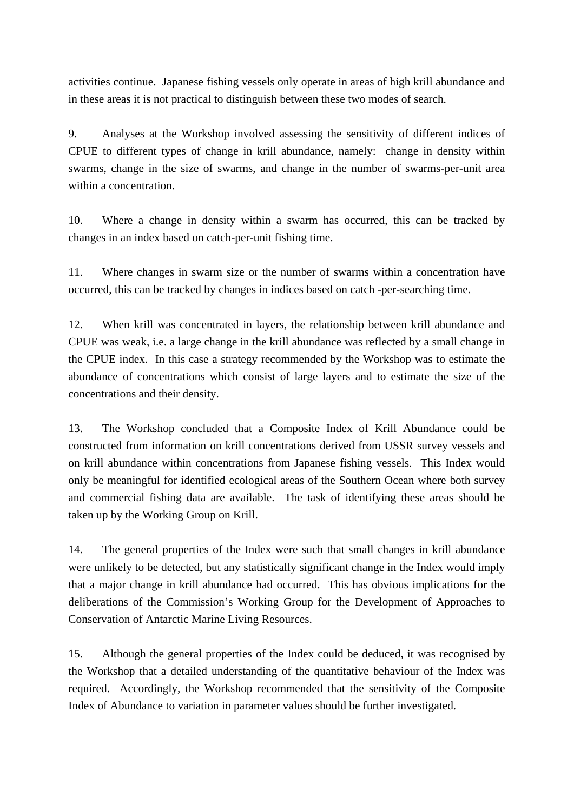activities continue. Japanese fishing vessels only operate in areas of high krill abundance and in these areas it is not practical to distinguish between these two modes of search.

9. Analyses at the Workshop involved assessing the sensitivity of different indices of CPUE to different types of change in krill abundance, namely: change in density within swarms, change in the size of swarms, and change in the number of swarms-per-unit area within a concentration.

10. Where a change in density within a swarm has occurred, this can be tracked by changes in an index based on catch-per-unit fishing time.

11. Where changes in swarm size or the number of swarms within a concentration have occurred, this can be tracked by changes in indices based on catch -per-searching time.

12. When krill was concentrated in layers, the relationship between krill abundance and CPUE was weak, i.e. a large change in the krill abundance was reflected by a small change in the CPUE index. In this case a strategy recommended by the Workshop was to estimate the abundance of concentrations which consist of large layers and to estimate the size of the concentrations and their density.

13. The Workshop concluded that a Composite Index of Krill Abundance could be constructed from information on krill concentrations derived from USSR survey vessels and on krill abundance within concentrations from Japanese fishing vessels. This Index would only be meaningful for identified ecological areas of the Southern Ocean where both survey and commercial fishing data are available. The task of identifying these areas should be taken up by the Working Group on Krill.

14. The general properties of the Index were such that small changes in krill abundance were unlikely to be detected, but any statistically significant change in the Index would imply that a major change in krill abundance had occurred. This has obvious implications for the deliberations of the Commission's Working Group for the Development of Approaches to Conservation of Antarctic Marine Living Resources.

15. Although the general properties of the Index could be deduced, it was recognised by the Workshop that a detailed understanding of the quantitative behaviour of the Index was required. Accordingly, the Workshop recommended that the sensitivity of the Composite Index of Abundance to variation in parameter values should be further investigated.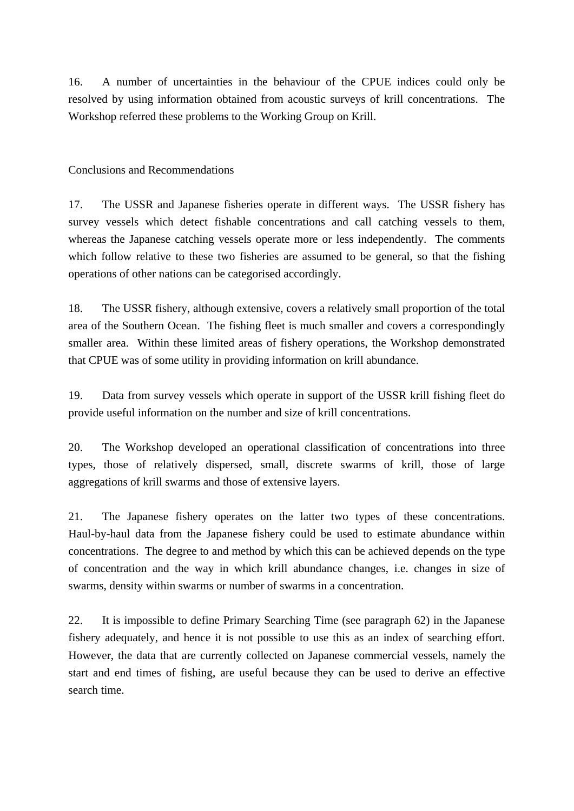16. A number of uncertainties in the behaviour of the CPUE indices could only be resolved by using information obtained from acoustic surveys of krill concentrations. The Workshop referred these problems to the Working Group on Krill.

Conclusions and Recommendations

17. The USSR and Japanese fisheries operate in different ways. The USSR fishery has survey vessels which detect fishable concentrations and call catching vessels to them, whereas the Japanese catching vessels operate more or less independently. The comments which follow relative to these two fisheries are assumed to be general, so that the fishing operations of other nations can be categorised accordingly.

18. The USSR fishery, although extensive, covers a relatively small proportion of the total area of the Southern Ocean. The fishing fleet is much smaller and covers a correspondingly smaller area. Within these limited areas of fishery operations, the Workshop demonstrated that CPUE was of some utility in providing information on krill abundance.

19. Data from survey vessels which operate in support of the USSR krill fishing fleet do provide useful information on the number and size of krill concentrations.

20. The Workshop developed an operational classification of concentrations into three types, those of relatively dispersed, small, discrete swarms of krill, those of large aggregations of krill swarms and those of extensive layers.

21. The Japanese fishery operates on the latter two types of these concentrations. Haul-by-haul data from the Japanese fishery could be used to estimate abundance within concentrations. The degree to and method by which this can be achieved depends on the type of concentration and the way in which krill abundance changes, i.e. changes in size of swarms, density within swarms or number of swarms in a concentration.

22. It is impossible to define Primary Searching Time (see paragraph 62) in the Japanese fishery adequately, and hence it is not possible to use this as an index of searching effort. However, the data that are currently collected on Japanese commercial vessels, namely the start and end times of fishing, are useful because they can be used to derive an effective search time.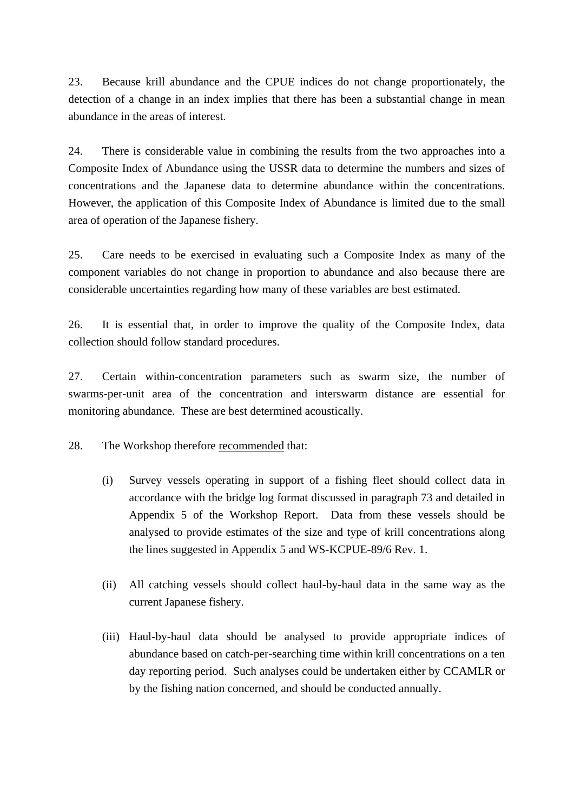23. Because krill abundance and the CPUE indices do not change proportionately, the detection of a change in an index implies that there has been a substantial change in mean abundance in the areas of interest.

24. There is considerable value in combining the results from the two approaches into a Composite Index of Abundance using the USSR data to determine the numbers and sizes of concentrations and the Japanese data to determine abundance within the concentrations. However, the application of this Composite Index of Abundance is limited due to the small area of operation of the Japanese fishery.

25. Care needs to be exercised in evaluating such a Composite Index as many of the component variables do not change in proportion to abundance and also because there are considerable uncertainties regarding how many of these variables are best estimated.

26. It is essential that, in order to improve the quality of the Composite Index, data collection should follow standard procedures.

27. Certain within-concentration parameters such as swarm size, the number of swarms-per-unit area of the concentration and interswarm distance are essential for monitoring abundance. These are best determined acoustically.

28. The Workshop therefore <u>recommended</u> that:

- (i) Survey vessels operating in support of a fishing fleet should collect data in accordance with the bridge log format discussed in paragraph 73 and detailed in Appendix 5 of the Workshop Report. Data from these vessels should be analysed to provide estimates of the size and type of krill concentrations along the lines suggested in Appendix 5 and WS-KCPUE-89/6 Rev. 1.
- (ii) All catching vessels should collect haul-by-haul data in the same way as the current Japanese fishery.
- (iii) Haul-by-haul data should be analysed to provide appropriate indices of abundance based on catch-per-searching time within krill concentrations on a ten day reporting period. Such analyses could be undertaken either by CCAMLR or by the fishing nation concerned, and should be conducted annually.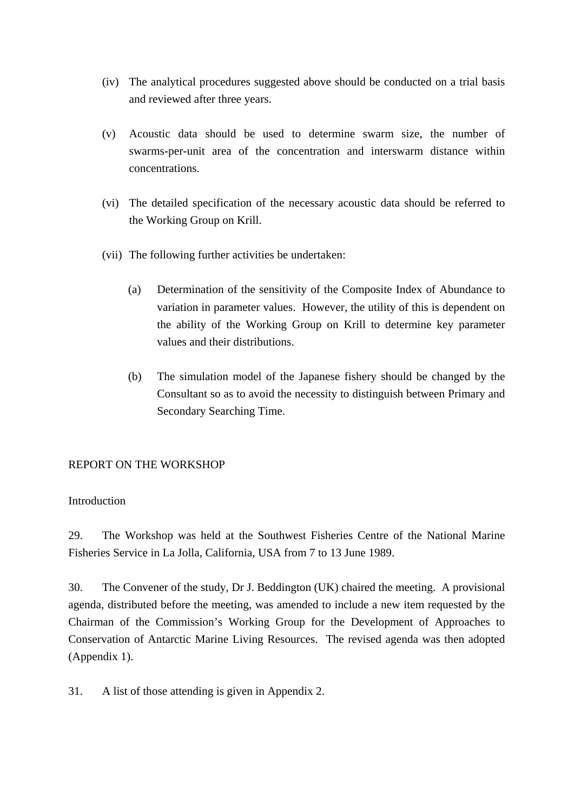- (iv) The analytical procedures suggested above should be conducted on a trial basis and reviewed after three years.
- (v) Acoustic data should be used to determine swarm size, the number of swarms-per-unit area of the concentration and interswarm distance within concentrations.
- (vi) The detailed specification of the necessary acoustic data should be referred to the Working Group on Krill.
- (vii) The following further activities be undertaken:
	- (a) Determination of the sensitivity of the Composite Index of Abundance to variation in parameter values. However, the utility of this is dependent on the ability of the Working Group on Krill to determine key parameter values and their distributions.
	- (b) The simulation model of the Japanese fishery should be changed by the Consultant so as to avoid the necessity to distinguish between Primary and Secondary Searching Time.

## REPORT ON THE WORKSHOP

### **Introduction**

29. The Workshop was held at the Southwest Fisheries Centre of the National Marine Fisheries Service in La Jolla, California, USA from 7 to 13 June 1989.

30. The Convener of the study, Dr J. Beddington (UK) chaired the meeting. A provisional agenda, distributed before the meeting, was amended to include a new item requested by the Chairman of the Commission's Working Group for the Development of Approaches to Conservation of Antarctic Marine Living Resources. The revised agenda was then adopted (Appendix 1).

31. A list of those attending is given in Appendix 2.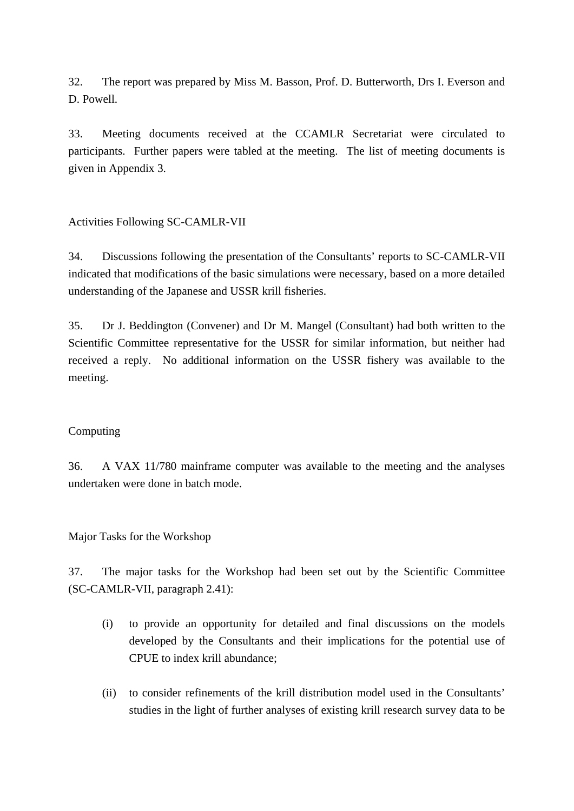32. The report was prepared by Miss M. Basson, Prof. D. Butterworth, Drs I. Everson and D. Powell.

33. Meeting documents received at the CCAMLR Secretariat were circulated to participants. Further papers were tabled at the meeting. The list of meeting documents is given in Appendix 3.

Activities Following SC-CAMLR-VII

34. Discussions following the presentation of the Consultants' reports to SC-CAMLR-VII indicated that modifications of the basic simulations were necessary, based on a more detailed understanding of the Japanese and USSR krill fisheries.

35. Dr J. Beddington (Convener) and Dr M. Mangel (Consultant) had both written to the Scientific Committee representative for the USSR for similar information, but neither had received a reply. No additional information on the USSR fishery was available to the meeting.

### Computing

36. A VAX 11/780 mainframe computer was available to the meeting and the analyses undertaken were done in batch mode.

Major Tasks for the Workshop

37. The major tasks for the Workshop had been set out by the Scientific Committee (SC-CAMLR-VII, paragraph 2.41):

- (i) to provide an opportunity for detailed and final discussions on the models developed by the Consultants and their implications for the potential use of CPUE to index krill abundance;
- (ii) to consider refinements of the krill distribution model used in the Consultants' studies in the light of further analyses of existing krill research survey data to be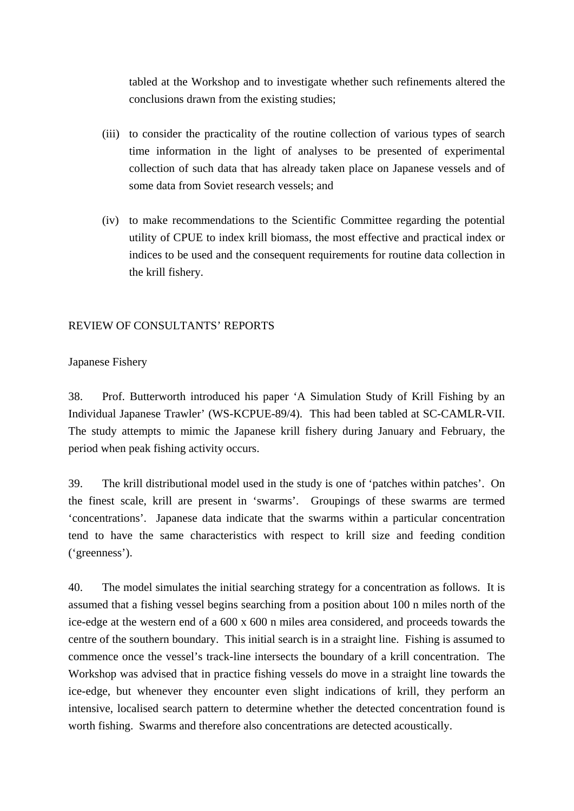tabled at the Workshop and to investigate whether such refinements altered the conclusions drawn from the existing studies;

- (iii) to consider the practicality of the routine collection of various types of search time information in the light of analyses to be presented of experimental collection of such data that has already taken place on Japanese vessels and of some data from Soviet research vessels; and
- (iv) to make recommendations to the Scientific Committee regarding the potential utility of CPUE to index krill biomass, the most effective and practical index or indices to be used and the consequent requirements for routine data collection in the krill fishery.

### REVIEW OF CONSULTANTS' REPORTS

### Japanese Fishery

38. Prof. Butterworth introduced his paper 'A Simulation Study of Krill Fishing by an Individual Japanese Trawler' (WS-KCPUE-89/4). This had been tabled at SC-CAMLR-VII. The study attempts to mimic the Japanese krill fishery during January and February, the period when peak fishing activity occurs.

39. The krill distributional model used in the study is one of 'patches within patches'. On the finest scale, krill are present in 'swarms'. Groupings of these swarms are termed 'concentrations'. Japanese data indicate that the swarms within a particular concentration tend to have the same characteristics with respect to krill size and feeding condition ('greenness').

40. The model simulates the initial searching strategy for a concentration as follows. It is assumed that a fishing vessel begins searching from a position about 100 n miles north of the ice-edge at the western end of a 600 x 600 n miles area considered, and proceeds towards the centre of the southern boundary. This initial search is in a straight line. Fishing is assumed to commence once the vessel's track-line intersects the boundary of a krill concentration. The Workshop was advised that in practice fishing vessels do move in a straight line towards the ice-edge, but whenever they encounter even slight indications of krill, they perform an intensive, localised search pattern to determine whether the detected concentration found is worth fishing. Swarms and therefore also concentrations are detected acoustically.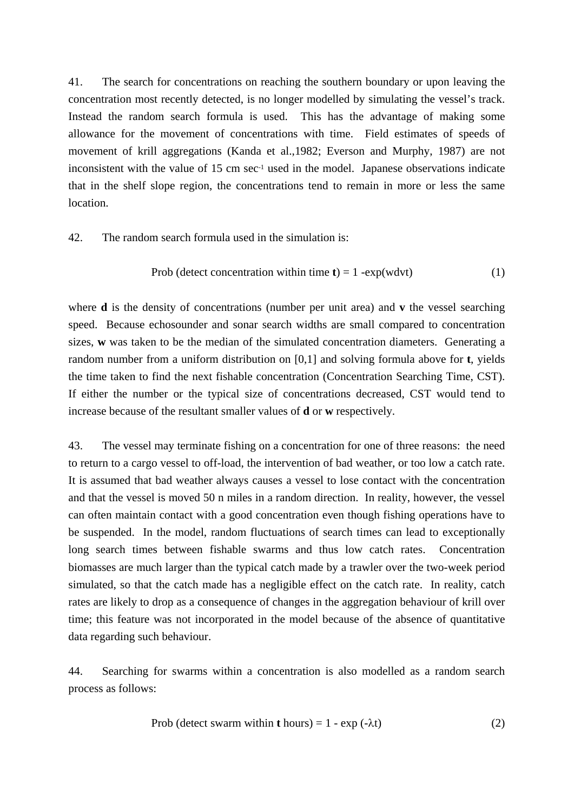41. The search for concentrations on reaching the southern boundary or upon leaving the concentration most recently detected, is no longer modelled by simulating the vessel's track. Instead the random search formula is used. This has the advantage of making some allowance for the movement of concentrations with time. Field estimates of speeds of movement of krill aggregations (Kanda et al.,1982; Everson and Murphy, 1987) are not inconsistent with the value of 15 cm sec<sup>-1</sup> used in the model. Japanese observations indicate that in the shelf slope region, the concentrations tend to remain in more or less the same location.

### 42. The random search formula used in the simulation is:

$$
Prob (detect \,\, concentration \,\, within \,\, time \,\, t) = 1 \,\, -exp(wdvt) \tag{1}
$$

where **d** is the density of concentrations (number per unit area) and **v** the vessel searching speed. Because echosounder and sonar search widths are small compared to concentration sizes, **w** was taken to be the median of the simulated concentration diameters. Generating a random number from a uniform distribution on [0,1] and solving formula above for **t**, yields the time taken to find the next fishable concentration (Concentration Searching Time, CST). If either the number or the typical size of concentrations decreased, CST would tend to increase because of the resultant smaller values of **d** or **w** respectively.

43. The vessel may terminate fishing on a concentration for one of three reasons: the need to return to a cargo vessel to off-load, the intervention of bad weather, or too low a catch rate. It is assumed that bad weather always causes a vessel to lose contact with the concentration and that the vessel is moved 50 n miles in a random direction. In reality, however, the vessel can often maintain contact with a good concentration even though fishing operations have to be suspended. In the model, random fluctuations of search times can lead to exceptionally long search times between fishable swarms and thus low catch rates. Concentration biomasses are much larger than the typical catch made by a trawler over the two-week period simulated, so that the catch made has a negligible effect on the catch rate. In reality, catch rates are likely to drop as a consequence of changes in the aggregation behaviour of krill over time; this feature was not incorporated in the model because of the absence of quantitative data regarding such behaviour.

44. Searching for swarms within a concentration is also modelled as a random search process as follows:

$$
Prob (detect \, swarm \, within \, t \, hours) = 1 - exp \, (-\lambda t) \tag{2}
$$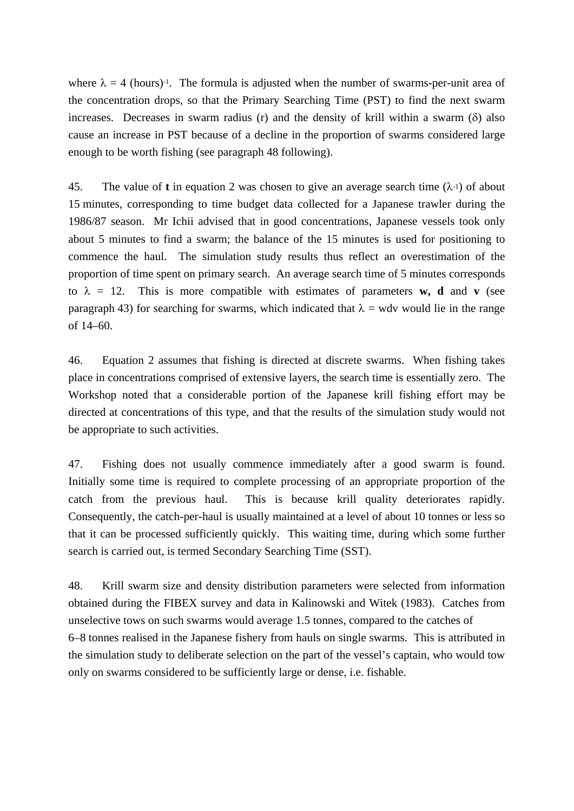where  $\lambda = 4$  (hours)<sup>-1</sup>. The formula is adjusted when the number of swarms-per-unit area of the concentration drops, so that the Primary Searching Time (PST) to find the next swarm increases. Decreases in swarm radius (r) and the density of krill within a swarm  $(\delta)$  also cause an increase in PST because of a decline in the proportion of swarms considered large enough to be worth fishing (see paragraph 48 following).

45. The value of **t** in equation 2 was chosen to give an average search time  $(\lambda^{-1})$  of about 15 minutes, corresponding to time budget data collected for a Japanese trawler during the 1986/87 season. Mr Ichii advised that in good concentrations, Japanese vessels took only about 5 minutes to find a swarm; the balance of the 15 minutes is used for positioning to commence the haul. The simulation study results thus reflect an overestimation of the proportion of time spent on primary search. An average search time of 5 minutes corresponds to  $\lambda = 12$ . This is more compatible with estimates of parameters **w**, **d** and **v** (see paragraph 43) for searching for swarms, which indicated that  $\lambda$  = wdv would lie in the range of 14–60.

46. Equation 2 assumes that fishing is directed at discrete swarms. When fishing takes place in concentrations comprised of extensive layers, the search time is essentially zero. The Workshop noted that a considerable portion of the Japanese krill fishing effort may be directed at concentrations of this type, and that the results of the simulation study would not be appropriate to such activities.

47. Fishing does not usually commence immediately after a good swarm is found. Initially some time is required to complete processing of an appropriate proportion of the catch from the previous haul. This is because krill quality deteriorates rapidly. Consequently, the catch-per-haul is usually maintained at a level of about 10 tonnes or less so that it can be processed sufficiently quickly. This waiting time, during which some further search is carried out, is termed Secondary Searching Time (SST).

48. Krill swarm size and density distribution parameters were selected from information obtained during the FIBEX survey and data in Kalinowski and Witek (1983). Catches from unselective tows on such swarms would average 1.5 tonnes, compared to the catches of 6–8 tonnes realised in the Japanese fishery from hauls on single swarms. This is attributed in the simulation study to deliberate selection on the part of the vessel's captain, who would tow only on swarms considered to be sufficiently large or dense, i.e. fishable.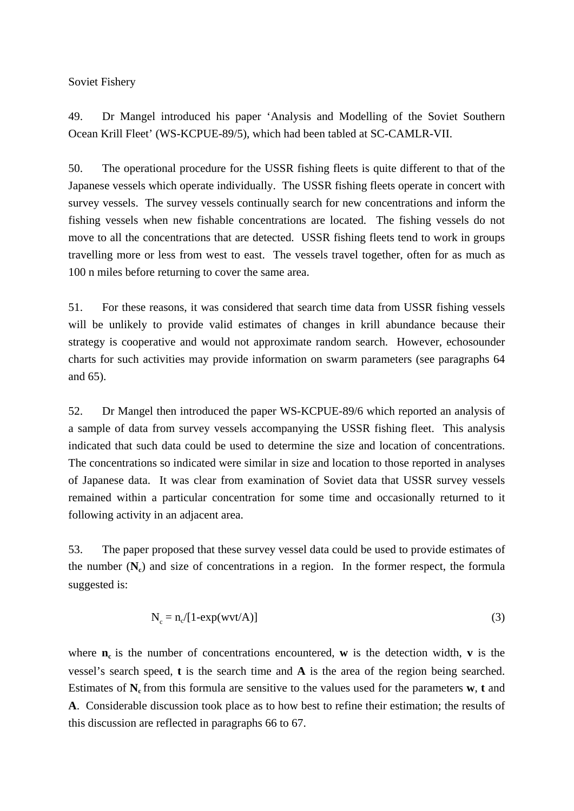Soviet Fishery

49. Dr Mangel introduced his paper 'Analysis and Modelling of the Soviet Southern Ocean Krill Fleet' (WS-KCPUE-89/5), which had been tabled at SC-CAMLR-VII.

50. The operational procedure for the USSR fishing fleets is quite different to that of the Japanese vessels which operate individually. The USSR fishing fleets operate in concert with survey vessels. The survey vessels continually search for new concentrations and inform the fishing vessels when new fishable concentrations are located. The fishing vessels do not move to all the concentrations that are detected. USSR fishing fleets tend to work in groups travelling more or less from west to east. The vessels travel together, often for as much as 100 n miles before returning to cover the same area.

51. For these reasons, it was considered that search time data from USSR fishing vessels will be unlikely to provide valid estimates of changes in krill abundance because their strategy is cooperative and would not approximate random search. However, echosounder charts for such activities may provide information on swarm parameters (see paragraphs 64 and 65).

52. Dr Mangel then introduced the paper WS-KCPUE-89/6 which reported an analysis of a sample of data from survey vessels accompanying the USSR fishing fleet. This analysis indicated that such data could be used to determine the size and location of concentrations. The concentrations so indicated were similar in size and location to those reported in analyses of Japanese data. It was clear from examination of Soviet data that USSR survey vessels remained within a particular concentration for some time and occasionally returned to it following activity in an adjacent area.

53. The paper proposed that these survey vessel data could be used to provide estimates of the number  $(N_c)$  and size of concentrations in a region. In the former respect, the formula suggested is:

$$
N_c = n_c/[1 - \exp(wvt/A)]
$$
 (3)

where  $n_c$  is the number of concentrations encountered, **w** is the detection width, **v** is the vessel's search speed, **t** is the search time and **A** is the area of the region being searched. Estimates of  $N_c$  from this formula are sensitive to the values used for the parameters **w**, **t** and **A**. Considerable discussion took place as to how best to refine their estimation; the results of this discussion are reflected in paragraphs 66 to 67.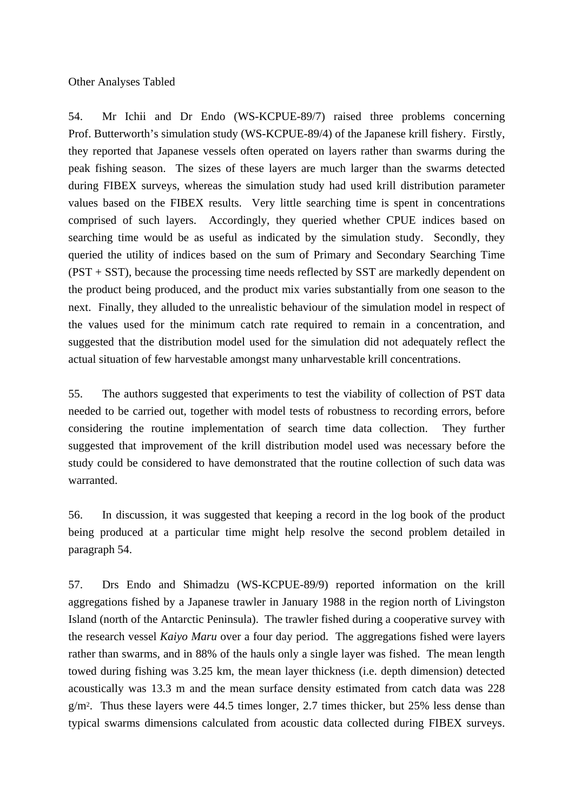Other Analyses Tabled

54. Mr Ichii and Dr Endo (WS-KCPUE-89/7) raised three problems concerning Prof. Butterworth's simulation study (WS-KCPUE-89/4) of the Japanese krill fishery. Firstly, they reported that Japanese vessels often operated on layers rather than swarms during the peak fishing season. The sizes of these layers are much larger than the swarms detected during FIBEX surveys, whereas the simulation study had used krill distribution parameter values based on the FIBEX results. Very little searching time is spent in concentrations comprised of such layers. Accordingly, they queried whether CPUE indices based on searching time would be as useful as indicated by the simulation study. Secondly, they queried the utility of indices based on the sum of Primary and Secondary Searching Time (PST + SST), because the processing time needs reflected by SST are markedly dependent on the product being produced, and the product mix varies substantially from one season to the next. Finally, they alluded to the unrealistic behaviour of the simulation model in respect of the values used for the minimum catch rate required to remain in a concentration, and suggested that the distribution model used for the simulation did not adequately reflect the actual situation of few harvestable amongst many unharvestable krill concentrations.

55. The authors suggested that experiments to test the viability of collection of PST data needed to be carried out, together with model tests of robustness to recording errors, before considering the routine implementation of search time data collection. They further suggested that improvement of the krill distribution model used was necessary before the study could be considered to have demonstrated that the routine collection of such data was warranted.

56. In discussion, it was suggested that keeping a record in the log book of the product being produced at a particular time might help resolve the second problem detailed in paragraph 54.

57. Drs Endo and Shimadzu (WS-KCPUE-89/9) reported information on the krill aggregations fished by a Japanese trawler in January 1988 in the region north of Livingston Island (north of the Antarctic Peninsula). The trawler fished during a cooperative survey with the research vessel *Kaiyo Maru* over a four day period. The aggregations fished were layers rather than swarms, and in 88% of the hauls only a single layer was fished. The mean length towed during fishing was 3.25 km, the mean layer thickness (i.e. depth dimension) detected acoustically was 13.3 m and the mean surface density estimated from catch data was 228  $g/m<sup>2</sup>$ . Thus these layers were 44.5 times longer, 2.7 times thicker, but 25% less dense than typical swarms dimensions calculated from acoustic data collected during FIBEX surveys.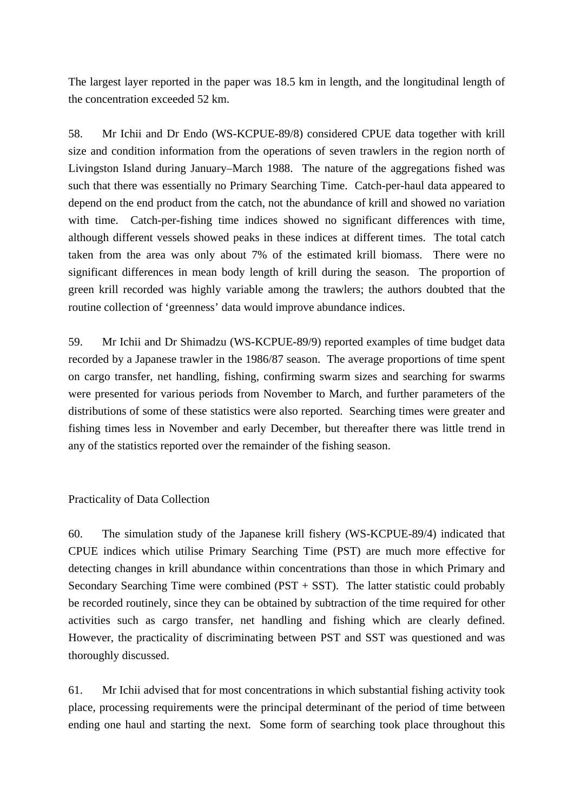The largest layer reported in the paper was 18.5 km in length, and the longitudinal length of the concentration exceeded 52 km.

58. Mr Ichii and Dr Endo (WS-KCPUE-89/8) considered CPUE data together with krill size and condition information from the operations of seven trawlers in the region north of Livingston Island during January–March 1988. The nature of the aggregations fished was such that there was essentially no Primary Searching Time. Catch-per-haul data appeared to depend on the end product from the catch, not the abundance of krill and showed no variation with time. Catch-per-fishing time indices showed no significant differences with time, although different vessels showed peaks in these indices at different times. The total catch taken from the area was only about 7% of the estimated krill biomass. There were no significant differences in mean body length of krill during the season. The proportion of green krill recorded was highly variable among the trawlers; the authors doubted that the routine collection of 'greenness' data would improve abundance indices.

59. Mr Ichii and Dr Shimadzu (WS-KCPUE-89/9) reported examples of time budget data recorded by a Japanese trawler in the 1986/87 season. The average proportions of time spent on cargo transfer, net handling, fishing, confirming swarm sizes and searching for swarms were presented for various periods from November to March, and further parameters of the distributions of some of these statistics were also reported. Searching times were greater and fishing times less in November and early December, but thereafter there was little trend in any of the statistics reported over the remainder of the fishing season.

Practicality of Data Collection

60. The simulation study of the Japanese krill fishery (WS-KCPUE-89/4) indicated that CPUE indices which utilise Primary Searching Time (PST) are much more effective for detecting changes in krill abundance within concentrations than those in which Primary and Secondary Searching Time were combined (PST + SST). The latter statistic could probably be recorded routinely, since they can be obtained by subtraction of the time required for other activities such as cargo transfer, net handling and fishing which are clearly defined. However, the practicality of discriminating between PST and SST was questioned and was thoroughly discussed.

61. Mr Ichii advised that for most concentrations in which substantial fishing activity took place, processing requirements were the principal determinant of the period of time between ending one haul and starting the next. Some form of searching took place throughout this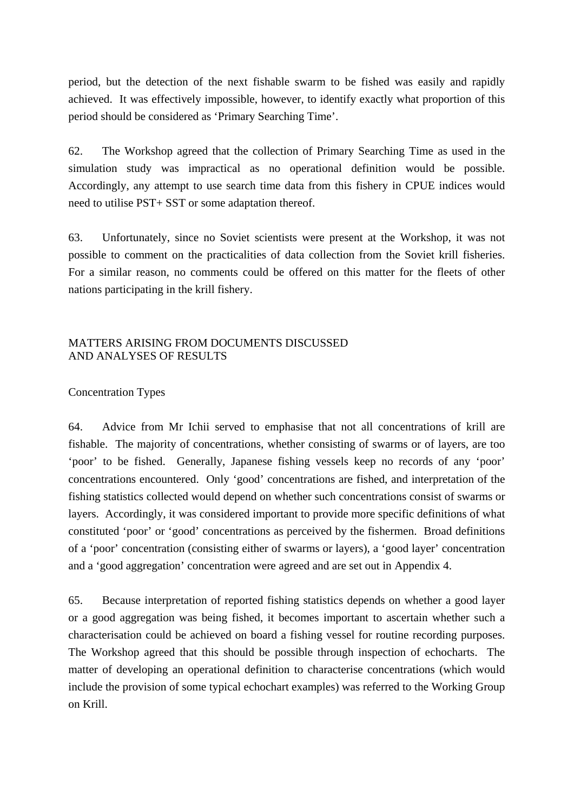period, but the detection of the next fishable swarm to be fished was easily and rapidly achieved. It was effectively impossible, however, to identify exactly what proportion of this period should be considered as 'Primary Searching Time'.

62. The Workshop agreed that the collection of Primary Searching Time as used in the simulation study was impractical as no operational definition would be possible. Accordingly, any attempt to use search time data from this fishery in CPUE indices would need to utilise PST+ SST or some adaptation thereof.

63. Unfortunately, since no Soviet scientists were present at the Workshop, it was not possible to comment on the practicalities of data collection from the Soviet krill fisheries. For a similar reason, no comments could be offered on this matter for the fleets of other nations participating in the krill fishery.

### MATTERS ARISING FROM DOCUMENTS DISCUSSED AND ANALYSES OF RESULTS

### Concentration Types

64. Advice from Mr Ichii served to emphasise that not all concentrations of krill are fishable. The majority of concentrations, whether consisting of swarms or of layers, are too 'poor' to be fished. Generally, Japanese fishing vessels keep no records of any 'poor' concentrations encountered. Only 'good' concentrations are fished, and interpretation of the fishing statistics collected would depend on whether such concentrations consist of swarms or layers. Accordingly, it was considered important to provide more specific definitions of what constituted 'poor' or 'good' concentrations as perceived by the fishermen. Broad definitions of a 'poor' concentration (consisting either of swarms or layers), a 'good layer' concentration and a 'good aggregation' concentration were agreed and are set out in Appendix 4.

65. Because interpretation of reported fishing statistics depends on whether a good layer or a good aggregation was being fished, it becomes important to ascertain whether such a characterisation could be achieved on board a fishing vessel for routine recording purposes. The Workshop agreed that this should be possible through inspection of echocharts. The matter of developing an operational definition to characterise concentrations (which would include the provision of some typical echochart examples) was referred to the Working Group on Krill.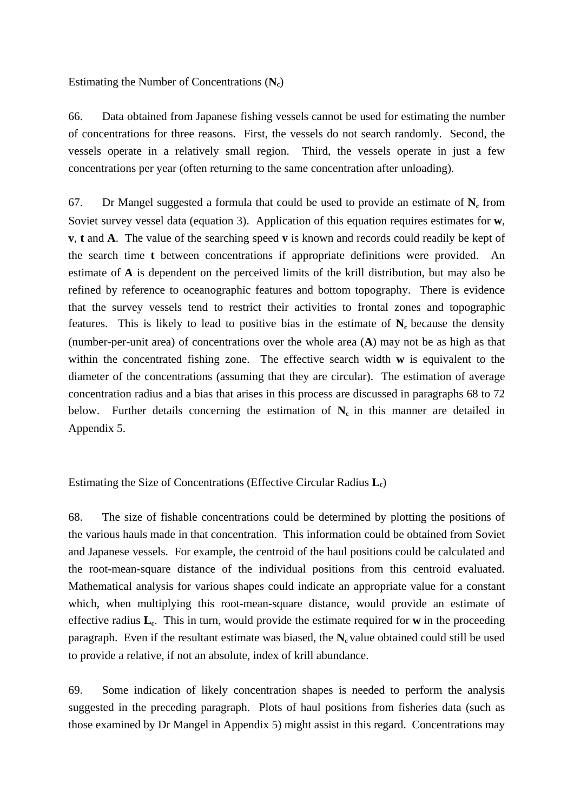Estimating the Number of Concentrations (**Nc**)

66. Data obtained from Japanese fishing vessels cannot be used for estimating the number of concentrations for three reasons. First, the vessels do not search randomly. Second, the vessels operate in a relatively small region. Third, the vessels operate in just a few concentrations per year (often returning to the same concentration after unloading).

67. Dr Mangel suggested a formula that could be used to provide an estimate of  $N_c$  from Soviet survey vessel data (equation 3). Application of this equation requires estimates for **w**, **v**, **t** and **A**. The value of the searching speed **v** is known and records could readily be kept of the search time **t** between concentrations if appropriate definitions were provided. An estimate of **A** is dependent on the perceived limits of the krill distribution, but may also be refined by reference to oceanographic features and bottom topography. There is evidence that the survey vessels tend to restrict their activities to frontal zones and topographic features. This is likely to lead to positive bias in the estimate of  $N_c$  because the density (number-per-unit area) of concentrations over the whole area (**A**) may not be as high as that within the concentrated fishing zone. The effective search width **w** is equivalent to the diameter of the concentrations (assuming that they are circular). The estimation of average concentration radius and a bias that arises in this process are discussed in paragraphs 68 to 72 below. Further details concerning the estimation of  $N_c$  in this manner are detailed in Appendix 5.

Estimating the Size of Concentrations (Effective Circular Radius **Lc**)

68. The size of fishable concentrations could be determined by plotting the positions of the various hauls made in that concentration. This information could be obtained from Soviet and Japanese vessels. For example, the centroid of the haul positions could be calculated and the root-mean-square distance of the individual positions from this centroid evaluated. Mathematical analysis for various shapes could indicate an appropriate value for a constant which, when multiplying this root-mean-square distance, would provide an estimate of effective radius **Lc**. This in turn, would provide the estimate required for **w** in the proceeding paragraph. Even if the resultant estimate was biased, the  $N_c$  value obtained could still be used to provide a relative, if not an absolute, index of krill abundance.

69. Some indication of likely concentration shapes is needed to perform the analysis suggested in the preceding paragraph. Plots of haul positions from fisheries data (such as those examined by Dr Mangel in Appendix 5) might assist in this regard. Concentrations may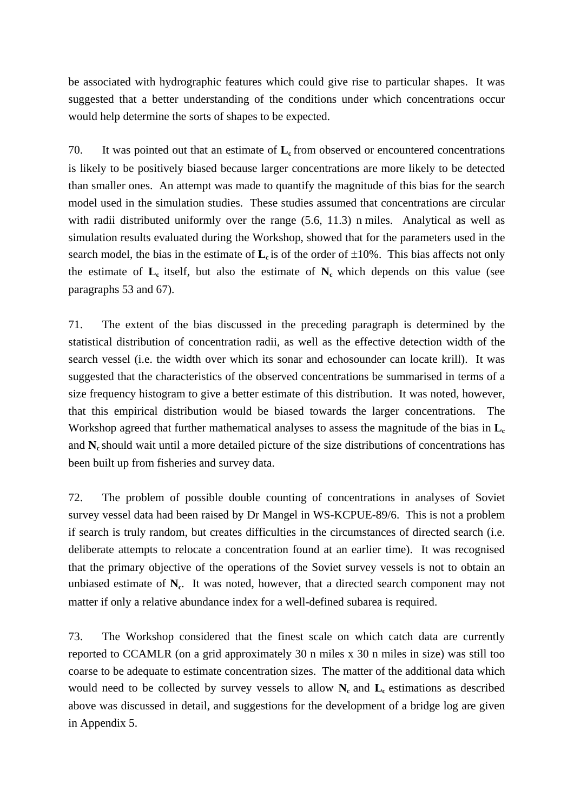be associated with hydrographic features which could give rise to particular shapes. It was suggested that a better understanding of the conditions under which concentrations occur would help determine the sorts of shapes to be expected.

70. It was pointed out that an estimate of  $L_c$  from observed or encountered concentrations is likely to be positively biased because larger concentrations are more likely to be detected than smaller ones. An attempt was made to quantify the magnitude of this bias for the search model used in the simulation studies. These studies assumed that concentrations are circular with radii distributed uniformly over the range (5.6, 11.3) n miles. Analytical as well as simulation results evaluated during the Workshop, showed that for the parameters used in the search model, the bias in the estimate of  $L<sub>c</sub>$  is of the order of  $\pm 10\%$ . This bias affects not only the estimate of  $L_c$  itself, but also the estimate of  $N_c$  which depends on this value (see paragraphs 53 and 67).

71. The extent of the bias discussed in the preceding paragraph is determined by the statistical distribution of concentration radii, as well as the effective detection width of the search vessel (i.e. the width over which its sonar and echosounder can locate krill). It was suggested that the characteristics of the observed concentrations be summarised in terms of a size frequency histogram to give a better estimate of this distribution. It was noted, however, that this empirical distribution would be biased towards the larger concentrations. The Workshop agreed that further mathematical analyses to assess the magnitude of the bias in  $L_c$ and N<sub>c</sub> should wait until a more detailed picture of the size distributions of concentrations has been built up from fisheries and survey data.

72. The problem of possible double counting of concentrations in analyses of Soviet survey vessel data had been raised by Dr Mangel in WS-KCPUE-89/6. This is not a problem if search is truly random, but creates difficulties in the circumstances of directed search (i.e. deliberate attempts to relocate a concentration found at an earlier time). It was recognised that the primary objective of the operations of the Soviet survey vessels is not to obtain an unbiased estimate of  $N_c$ . It was noted, however, that a directed search component may not matter if only a relative abundance index for a well-defined subarea is required.

73. The Workshop considered that the finest scale on which catch data are currently reported to CCAMLR (on a grid approximately 30 n miles x 30 n miles in size) was still too coarse to be adequate to estimate concentration sizes. The matter of the additional data which would need to be collected by survey vessels to allow  $N_c$  and  $L_c$  estimations as described above was discussed in detail, and suggestions for the development of a bridge log are given in Appendix 5.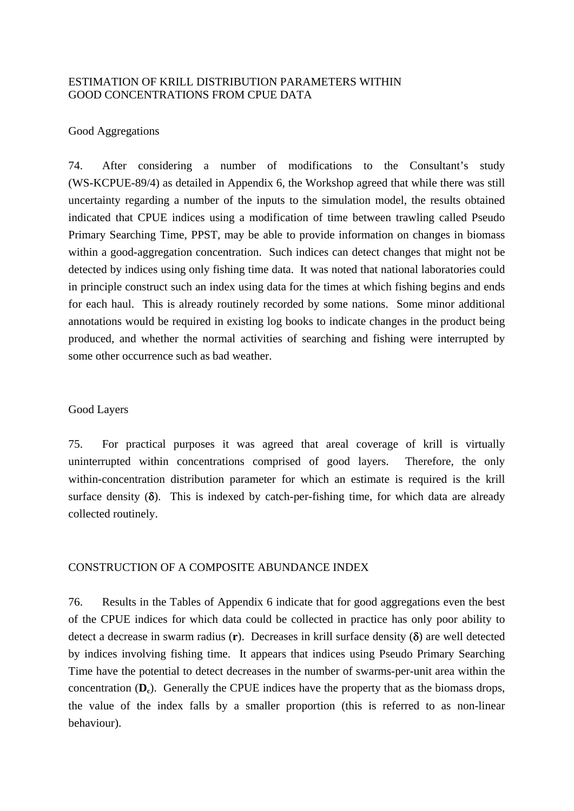### ESTIMATION OF KRILL DISTRIBUTION PARAMETERS WITHIN GOOD CONCENTRATIONS FROM CPUE DATA

#### Good Aggregations

74. After considering a number of modifications to the Consultant's study (WS-KCPUE-89/4) as detailed in Appendix 6, the Workshop agreed that while there was still uncertainty regarding a number of the inputs to the simulation model, the results obtained indicated that CPUE indices using a modification of time between trawling called Pseudo Primary Searching Time, PPST, may be able to provide information on changes in biomass within a good-aggregation concentration. Such indices can detect changes that might not be detected by indices using only fishing time data. It was noted that national laboratories could in principle construct such an index using data for the times at which fishing begins and ends for each haul. This is already routinely recorded by some nations. Some minor additional annotations would be required in existing log books to indicate changes in the product being produced, and whether the normal activities of searching and fishing were interrupted by some other occurrence such as bad weather.

#### Good Layers

75. For practical purposes it was agreed that areal coverage of krill is virtually uninterrupted within concentrations comprised of good layers. Therefore, the only within-concentration distribution parameter for which an estimate is required is the krill surface density  $(\delta)$ . This is indexed by catch-per-fishing time, for which data are already collected routinely.

#### CONSTRUCTION OF A COMPOSITE ABUNDANCE INDEX

76. Results in the Tables of Appendix 6 indicate that for good aggregations even the best of the CPUE indices for which data could be collected in practice has only poor ability to detect a decrease in swarm radius (**r**). Decreases in krill surface density (δ) are well detected by indices involving fishing time. It appears that indices using Pseudo Primary Searching Time have the potential to detect decreases in the number of swarms-per-unit area within the concentration ( $D_c$ ). Generally the CPUE indices have the property that as the biomass drops, the value of the index falls by a smaller proportion (this is referred to as non-linear behaviour).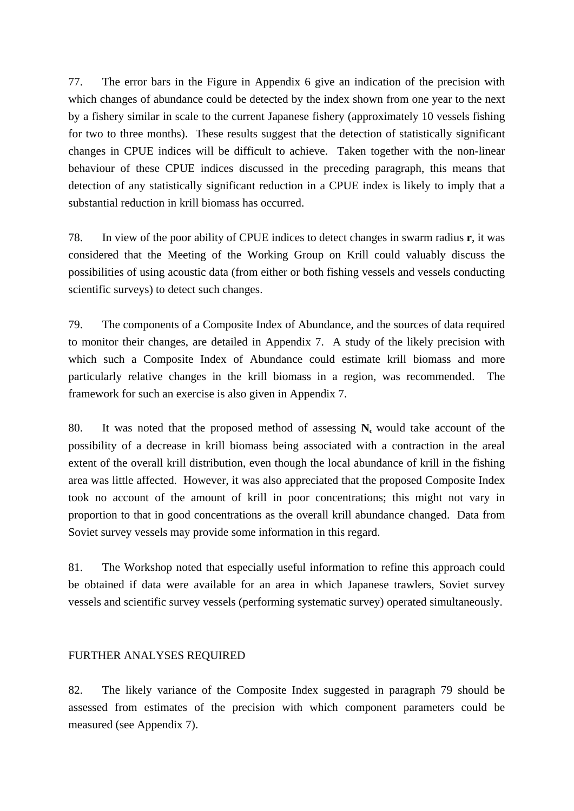77. The error bars in the Figure in Appendix 6 give an indication of the precision with which changes of abundance could be detected by the index shown from one year to the next by a fishery similar in scale to the current Japanese fishery (approximately 10 vessels fishing for two to three months). These results suggest that the detection of statistically significant changes in CPUE indices will be difficult to achieve. Taken together with the non-linear behaviour of these CPUE indices discussed in the preceding paragraph, this means that detection of any statistically significant reduction in a CPUE index is likely to imply that a substantial reduction in krill biomass has occurred.

78. In view of the poor ability of CPUE indices to detect changes in swarm radius **r**, it was considered that the Meeting of the Working Group on Krill could valuably discuss the possibilities of using acoustic data (from either or both fishing vessels and vessels conducting scientific surveys) to detect such changes.

79. The components of a Composite Index of Abundance, and the sources of data required to monitor their changes, are detailed in Appendix 7. A study of the likely precision with which such a Composite Index of Abundance could estimate krill biomass and more particularly relative changes in the krill biomass in a region, was recommended. The framework for such an exercise is also given in Appendix 7.

80. It was noted that the proposed method of assessing  $N_c$  would take account of the possibility of a decrease in krill biomass being associated with a contraction in the areal extent of the overall krill distribution, even though the local abundance of krill in the fishing area was little affected. However, it was also appreciated that the proposed Composite Index took no account of the amount of krill in poor concentrations; this might not vary in proportion to that in good concentrations as the overall krill abundance changed. Data from Soviet survey vessels may provide some information in this regard.

81. The Workshop noted that especially useful information to refine this approach could be obtained if data were available for an area in which Japanese trawlers, Soviet survey vessels and scientific survey vessels (performing systematic survey) operated simultaneously.

### FURTHER ANALYSES REQUIRED

82. The likely variance of the Composite Index suggested in paragraph 79 should be assessed from estimates of the precision with which component parameters could be measured (see Appendix 7).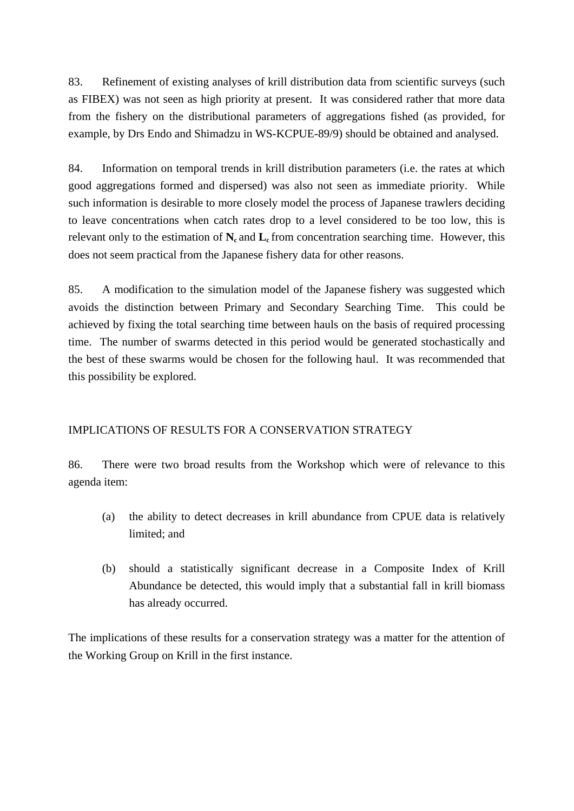83. Refinement of existing analyses of krill distribution data from scientific surveys (such as FIBEX) was not seen as high priority at present. It was considered rather that more data from the fishery on the distributional parameters of aggregations fished (as provided, for example, by Drs Endo and Shimadzu in WS-KCPUE-89/9) should be obtained and analysed.

84. Information on temporal trends in krill distribution parameters (i.e. the rates at which good aggregations formed and dispersed) was also not seen as immediate priority. While such information is desirable to more closely model the process of Japanese trawlers deciding to leave concentrations when catch rates drop to a level considered to be too low, this is relevant only to the estimation of  $N_c$  and  $L_c$  from concentration searching time. However, this does not seem practical from the Japanese fishery data for other reasons.

85. A modification to the simulation model of the Japanese fishery was suggested which avoids the distinction between Primary and Secondary Searching Time. This could be achieved by fixing the total searching time between hauls on the basis of required processing time. The number of swarms detected in this period would be generated stochastically and the best of these swarms would be chosen for the following haul. It was recommended that this possibility be explored.

### IMPLICATIONS OF RESULTS FOR A CONSERVATION STRATEGY

86. There were two broad results from the Workshop which were of relevance to this agenda item:

- (a) the ability to detect decreases in krill abundance from CPUE data is relatively limited; and
- (b) should a statistically significant decrease in a Composite Index of Krill Abundance be detected, this would imply that a substantial fall in krill biomass has already occurred.

The implications of these results for a conservation strategy was a matter for the attention of the Working Group on Krill in the first instance.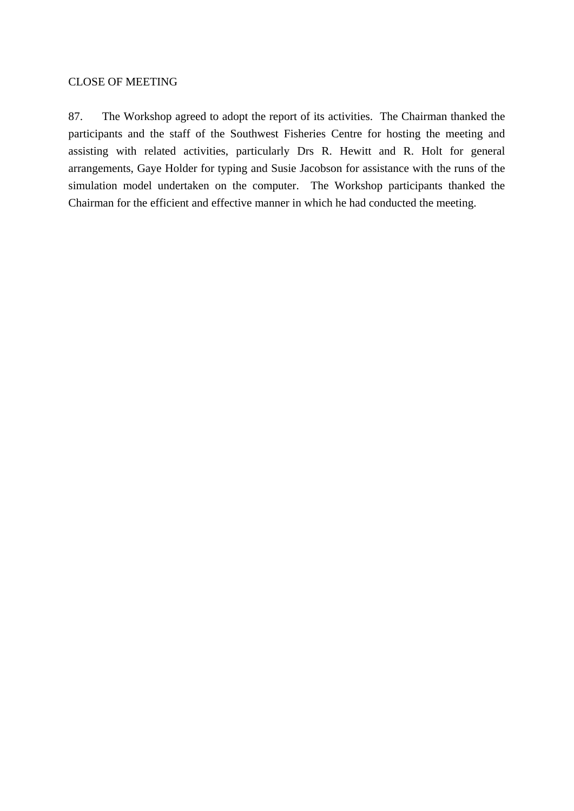### CLOSE OF MEETING

87. The Workshop agreed to adopt the report of its activities. The Chairman thanked the participants and the staff of the Southwest Fisheries Centre for hosting the meeting and assisting with related activities, particularly Drs R. Hewitt and R. Holt for general arrangements, Gaye Holder for typing and Susie Jacobson for assistance with the runs of the simulation model undertaken on the computer. The Workshop participants thanked the Chairman for the efficient and effective manner in which he had conducted the meeting.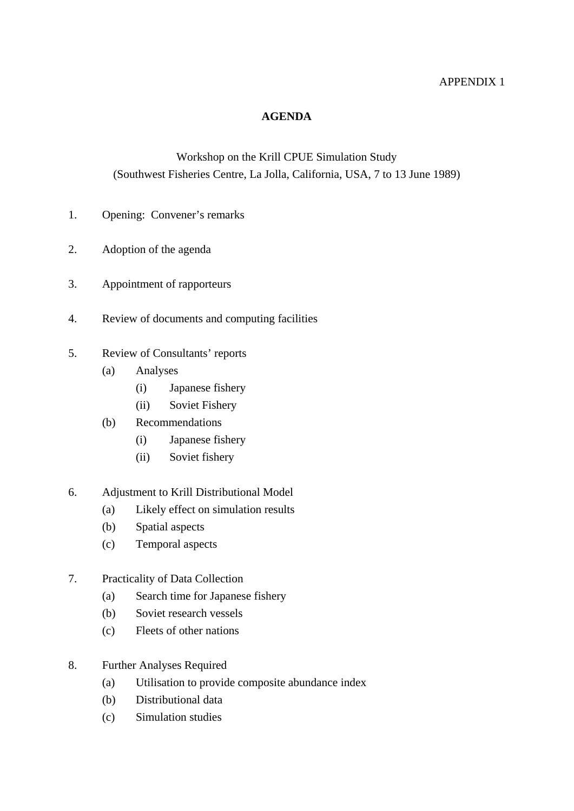### APPENDIX 1

### **AGENDA**

# Workshop on the Krill CPUE Simulation Study (Southwest Fisheries Centre, La Jolla, California, USA, 7 to 13 June 1989)

- 1. Opening: Convener's remarks
- 2. Adoption of the agenda
- 3. Appointment of rapporteurs
- 4. Review of documents and computing facilities
- 5. Review of Consultants' reports
	- (a) Analyses
		- (i) Japanese fishery
		- (ii) Soviet Fishery
	- (b) Recommendations
		- (i) Japanese fishery
		- (ii) Soviet fishery
- 6. Adjustment to Krill Distributional Model
	- (a) Likely effect on simulation results
	- (b) Spatial aspects
	- (c) Temporal aspects
- 7. Practicality of Data Collection
	- (a) Search time for Japanese fishery
	- (b) Soviet research vessels
	- (c) Fleets of other nations
- 8. Further Analyses Required
	- (a) Utilisation to provide composite abundance index
	- (b) Distributional data
	- (c) Simulation studies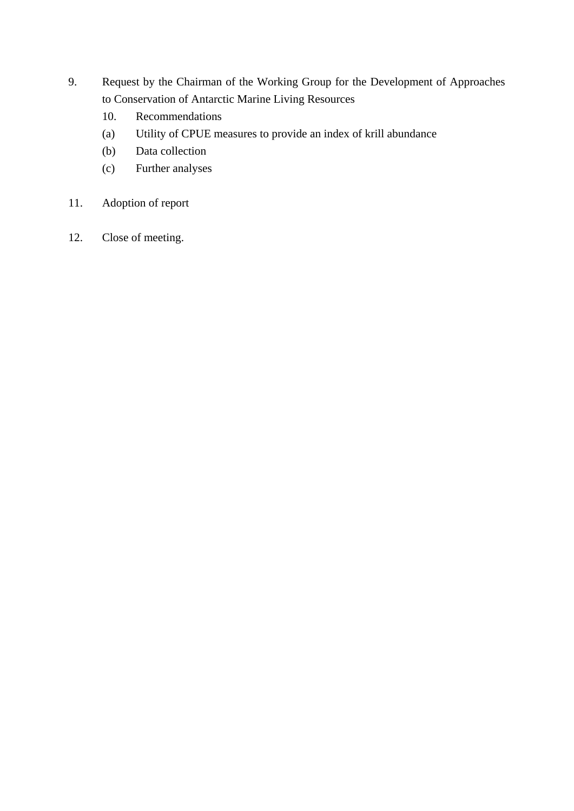- 9. Request by the Chairman of the Working Group for the Development of Approaches to Conservation of Antarctic Marine Living Resources
	- 10. Recommendations
	- (a) Utility of CPUE measures to provide an index of krill abundance
	- (b) Data collection
	- (c) Further analyses
- 11. Adoption of report
- 12. Close of meeting.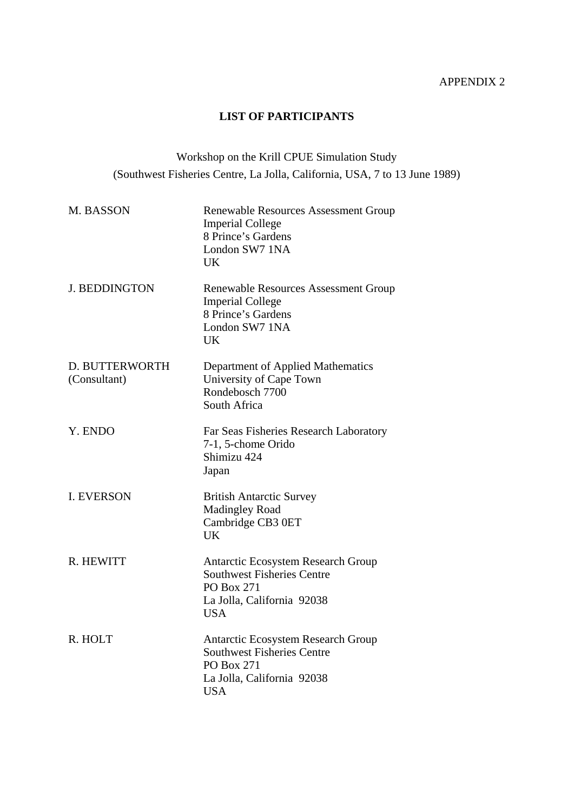## APPENDIX 2

## **LIST OF PARTICIPANTS**

# Workshop on the Krill CPUE Simulation Study (Southwest Fisheries Centre, La Jolla, California, USA, 7 to 13 June 1989)

| M. BASSON                      | <b>Renewable Resources Assessment Group</b><br><b>Imperial College</b><br>8 Prince's Gardens<br>London SW7 1NA<br><b>UK</b>                     |
|--------------------------------|-------------------------------------------------------------------------------------------------------------------------------------------------|
| <b>J. BEDDINGTON</b>           | Renewable Resources Assessment Group<br><b>Imperial College</b><br>8 Prince's Gardens<br>London SW7 1NA<br><b>UK</b>                            |
| D. BUTTERWORTH<br>(Consultant) | Department of Applied Mathematics<br>University of Cape Town<br>Rondebosch 7700<br>South Africa                                                 |
| Y. ENDO                        | Far Seas Fisheries Research Laboratory<br>7-1, 5-chome Orido<br>Shimizu 424<br>Japan                                                            |
| <b>I. EVERSON</b>              | <b>British Antarctic Survey</b><br><b>Madingley Road</b><br>Cambridge CB3 0ET<br><b>UK</b>                                                      |
| R. HEWITT                      | <b>Antarctic Ecosystem Research Group</b><br><b>Southwest Fisheries Centre</b><br><b>PO Box 271</b><br>La Jolla, California 92038<br><b>USA</b> |
| R. HOLT                        | Antarctic Ecosystem Research Group<br><b>Southwest Fisheries Centre</b><br>PO Box 271<br>La Jolla, California 92038<br><b>USA</b>               |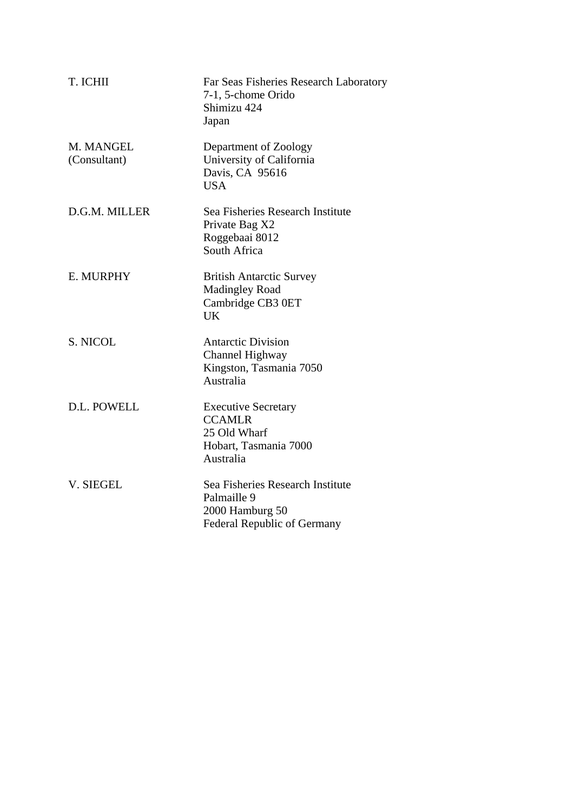| T. ICHII                  | Far Seas Fisheries Research Laboratory<br>7-1, 5-chome Orido<br>Shimizu 424<br>Japan              |
|---------------------------|---------------------------------------------------------------------------------------------------|
| M. MANGEL<br>(Consultant) | Department of Zoology<br>University of California<br>Davis, CA 95616<br><b>USA</b>                |
| D.G.M. MILLER             | Sea Fisheries Research Institute<br>Private Bag X2<br>Roggebaai 8012<br>South Africa              |
| E. MURPHY                 | <b>British Antarctic Survey</b><br><b>Madingley Road</b><br>Cambridge CB3 0ET<br>UK               |
| S. NICOL                  | <b>Antarctic Division</b><br><b>Channel Highway</b><br>Kingston, Tasmania 7050<br>Australia       |
| D.L. POWELL               | <b>Executive Secretary</b><br><b>CCAMLR</b><br>25 Old Wharf<br>Hobart, Tasmania 7000<br>Australia |
| V. SIEGEL                 | Sea Fisheries Research Institute<br>Palmaille 9<br>2000 Hamburg 50<br>Federal Republic of Germany |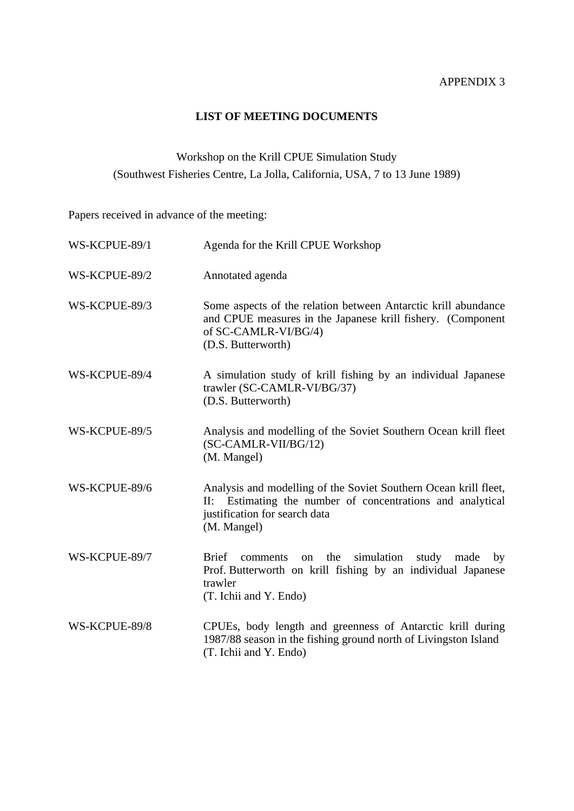# **LIST OF MEETING DOCUMENTS**

# Workshop on the Krill CPUE Simulation Study (Southwest Fisheries Centre, La Jolla, California, USA, 7 to 13 June 1989)

Papers received in advance of the meeting:

| WS-KCPUE-89/1 | Agenda for the Krill CPUE Workshop                                                                                                                                             |
|---------------|--------------------------------------------------------------------------------------------------------------------------------------------------------------------------------|
| WS-KCPUE-89/2 | Annotated agenda                                                                                                                                                               |
| WS-KCPUE-89/3 | Some aspects of the relation between Antarctic krill abundance<br>and CPUE measures in the Japanese krill fishery. (Component<br>of SC-CAMLR-VI/BG/4)<br>(D.S. Butterworth)    |
| WS-KCPUE-89/4 | A simulation study of krill fishing by an individual Japanese<br>trawler (SC-CAMLR-VI/BG/37)<br>(D.S. Butterworth)                                                             |
| WS-KCPUE-89/5 | Analysis and modelling of the Soviet Southern Ocean krill fleet<br>(SC-CAMLR-VII/BG/12)<br>(M. Mangel)                                                                         |
| WS-KCPUE-89/6 | Analysis and modelling of the Soviet Southern Ocean krill fleet,<br>II: Estimating the number of concentrations and analytical<br>justification for search data<br>(M. Mangel) |
| WS-KCPUE-89/7 | <b>Brief</b><br>the<br>simulation<br>study made<br>comments<br>by<br>on<br>Prof. Butterworth on krill fishing by an individual Japanese<br>trawler<br>(T. Ichii and Y. Endo)   |
| WS-KCPUE-89/8 | CPUEs, body length and greenness of Antarctic krill during<br>1987/88 season in the fishing ground north of Livingston Island<br>(T. Ichii and Y. Endo)                        |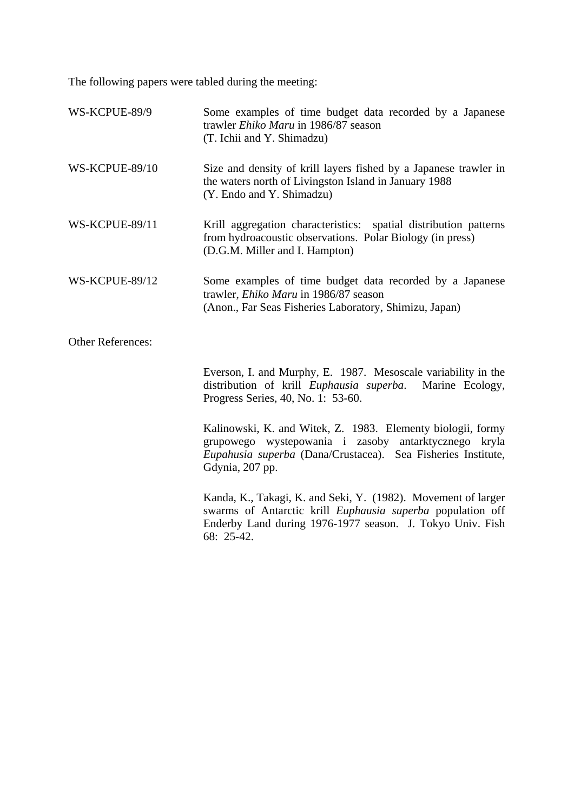The following papers were tabled during the meeting:

| WS-KCPUE-89/9            | Some examples of time budget data recorded by a Japanese<br>trawler Ehiko Maru in 1986/87 season<br>(T. Ichii and Y. Shimadzu)                                                                         |
|--------------------------|--------------------------------------------------------------------------------------------------------------------------------------------------------------------------------------------------------|
| WS-KCPUE-89/10           | Size and density of krill layers fished by a Japanese trawler in<br>the waters north of Livingston Island in January 1988<br>(Y. Endo and Y. Shimadzu)                                                 |
| WS-KCPUE-89/11           | Krill aggregation characteristics: spatial distribution patterns<br>from hydroacoustic observations. Polar Biology (in press)<br>(D.G.M. Miller and I. Hampton)                                        |
| WS-KCPUE-89/12           | Some examples of time budget data recorded by a Japanese<br>trawler, Ehiko Maru in 1986/87 season<br>(Anon., Far Seas Fisheries Laboratory, Shimizu, Japan)                                            |
| <b>Other References:</b> |                                                                                                                                                                                                        |
|                          | Everson, I. and Murphy, E. 1987. Mesoscale variability in the<br>distribution of krill <i>Euphausia superba</i> .<br>Marine Ecology,<br>Progress Series, 40, No. 1: 53-60.                             |
|                          | Kalinowski, K. and Witek, Z. 1983. Elementy biologii, formy<br>grupowego wystepowania i zasoby antarktycznego kryla<br>Eupahusia superba (Dana/Crustacea). Sea Fisheries Institute,<br>Gdynia, 207 pp. |
|                          | Kanda, K., Takagi, K. and Seki, Y. (1982). Movement of larger<br>swarms of Antarctic krill Euphausia superba population off<br>Enderby Land during 1976-1977 season. J. Tokyo Univ. Fish<br>68: 25-42. |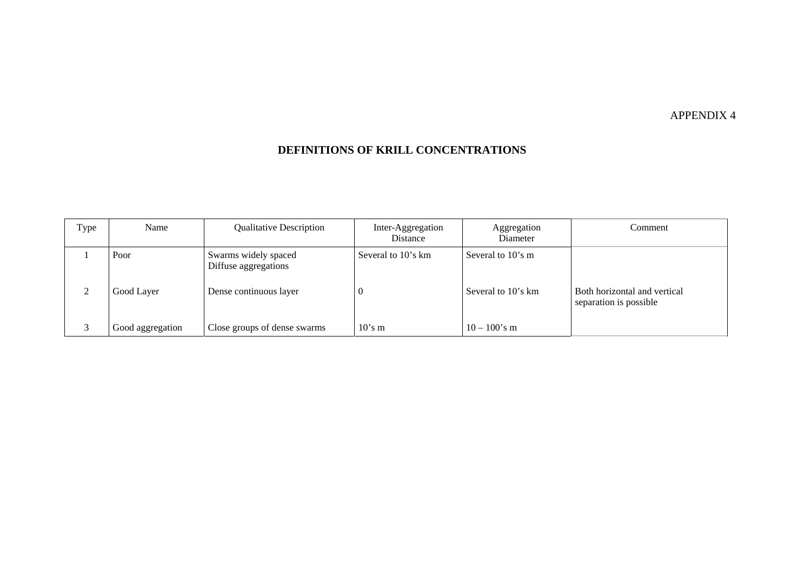#### APPENDIX 4

#### **DEFINITIONS OF KRILL CONCENTRATIONS**

| Type | Name             | <b>Qualitative Description</b>               | Inter-Aggregation<br>Distance | Aggregation<br>Diameter | Comment                                                |
|------|------------------|----------------------------------------------|-------------------------------|-------------------------|--------------------------------------------------------|
|      | Poor             | Swarms widely spaced<br>Diffuse aggregations | Several to 10's km            | Several to 10's m       |                                                        |
|      | Good Layer       | Dense continuous layer                       |                               | Several to 10's km      | Both horizontal and vertical<br>separation is possible |
|      | Good aggregation | Close groups of dense swarms                 | $10$ 's m                     | $10 - 100$ 's m         |                                                        |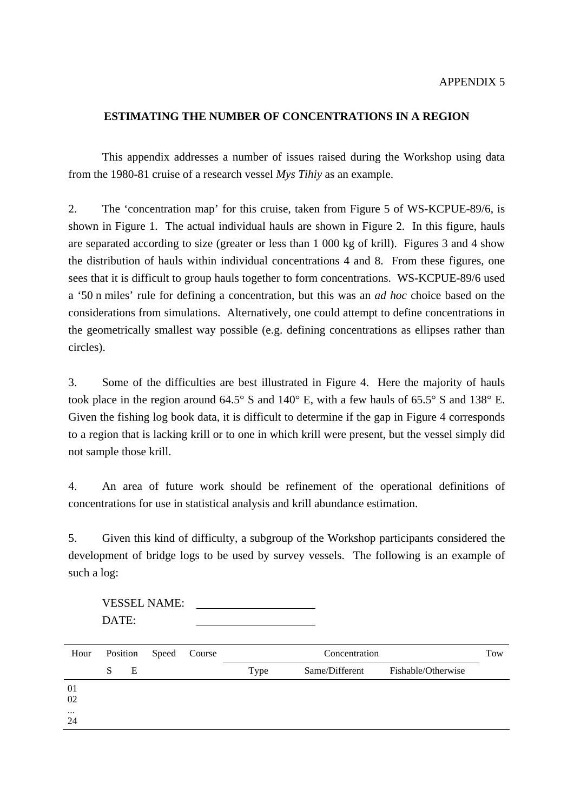### **ESTIMATING THE NUMBER OF CONCENTRATIONS IN A REGION**

 This appendix addresses a number of issues raised during the Workshop using data from the 1980-81 cruise of a research vessel *Mys Tihiy* as an example.

2. The 'concentration map' for this cruise, taken from Figure 5 of WS-KCPUE-89/6, is shown in Figure 1. The actual individual hauls are shown in Figure 2. In this figure, hauls are separated according to size (greater or less than 1 000 kg of krill). Figures 3 and 4 show the distribution of hauls within individual concentrations 4 and 8. From these figures, one sees that it is difficult to group hauls together to form concentrations. WS-KCPUE-89/6 used a '50 n miles' rule for defining a concentration, but this was an *ad hoc* choice based on the considerations from simulations. Alternatively, one could attempt to define concentrations in the geometrically smallest way possible (e.g. defining concentrations as ellipses rather than circles).

3. Some of the difficulties are best illustrated in Figure 4. Here the majority of hauls took place in the region around 64.5° S and 140° E, with a few hauls of 65.5° S and 138° E. Given the fishing log book data, it is difficult to determine if the gap in Figure 4 corresponds to a region that is lacking krill or to one in which krill were present, but the vessel simply did not sample those krill.

4. An area of future work should be refinement of the operational definitions of concentrations for use in statistical analysis and krill abundance estimation.

5. Given this kind of difficulty, a subgroup of the Workshop participants considered the development of bridge logs to be used by survey vessels. The following is an example of such a log:

 VESSEL NAME: DATE:

| Hour           | Position |   | Speed Course | Concentration |                | Tow                |  |
|----------------|----------|---|--------------|---------------|----------------|--------------------|--|
|                | S        | E |              | Type          | Same/Different | Fishable/Otherwise |  |
| 01<br>02       |          |   |              |               |                |                    |  |
| $\cdots$<br>24 |          |   |              |               |                |                    |  |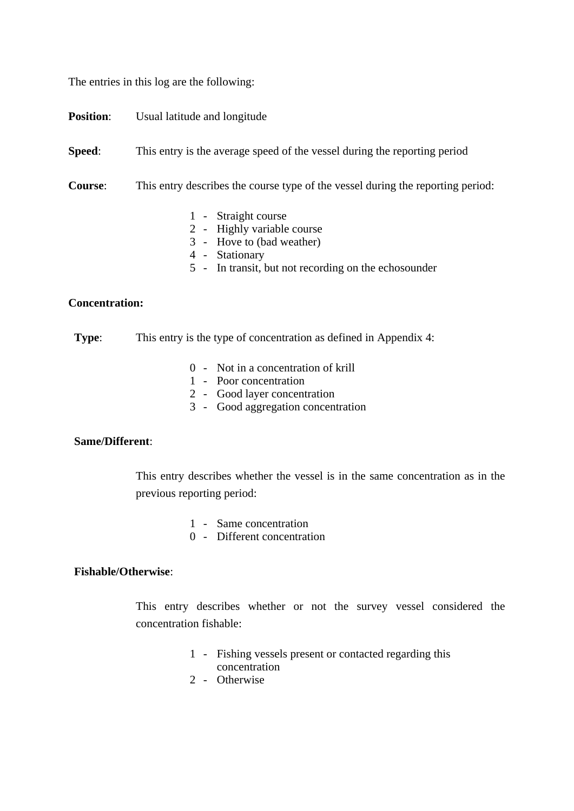The entries in this log are the following:

**Position:** Usual latitude and longitude

**Speed:** This entry is the average speed of the vessel during the reporting period

**Course**: This entry describes the course type of the vessel during the reporting period:

- 1 Straight course
- 2 Highly variable course
- 3 Hove to (bad weather)
- 4 Stationary
- 5 In transit, but not recording on the echosounder

#### **Concentration:**

**Type:** This entry is the type of concentration as defined in Appendix 4:

- 0 Not in a concentration of krill
- 1 Poor concentration
- 2 Good layer concentration
- 3 Good aggregation concentration

### **Same/Different**:

 This entry describes whether the vessel is in the same concentration as in the previous reporting period:

- 1 Same concentration
- 0 Different concentration

### **Fishable/Otherwise**:

 This entry describes whether or not the survey vessel considered the concentration fishable:

- 1 Fishing vessels present or contacted regarding this concentration
- 2 Otherwise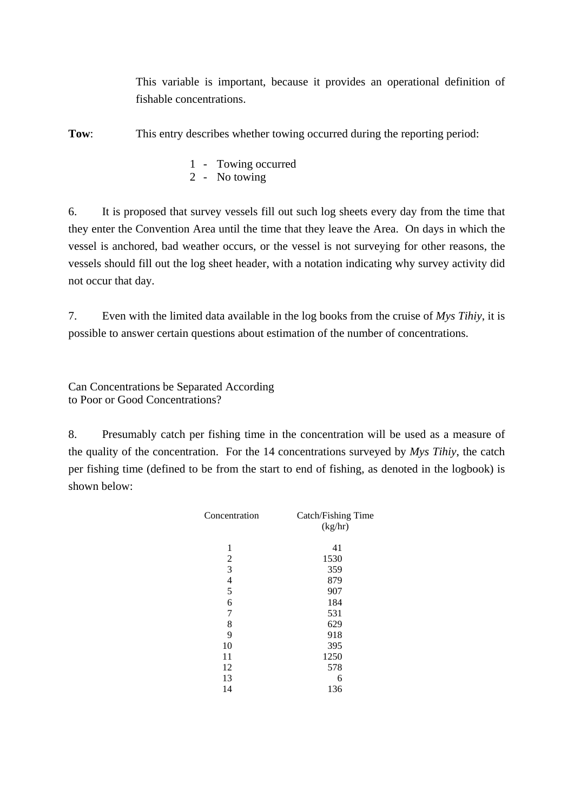This variable is important, because it provides an operational definition of fishable concentrations.

**Tow:** This entry describes whether towing occurred during the reporting period:

- 1 Towing occurred
- 2 No towing

6. It is proposed that survey vessels fill out such log sheets every day from the time that they enter the Convention Area until the time that they leave the Area. On days in which the vessel is anchored, bad weather occurs, or the vessel is not surveying for other reasons, the vessels should fill out the log sheet header, with a notation indicating why survey activity did not occur that day.

7. Even with the limited data available in the log books from the cruise of *Mys Tihiy*, it is possible to answer certain questions about estimation of the number of concentrations.

Can Concentrations be Separated According to Poor or Good Concentrations?

8. Presumably catch per fishing time in the concentration will be used as a measure of the quality of the concentration. For the 14 concentrations surveyed by *Mys Tihiy*, the catch per fishing time (defined to be from the start to end of fishing, as denoted in the logbook) is shown below:

| Concentration            | Catch/Fishing Time |
|--------------------------|--------------------|
|                          | (kg/hr)            |
|                          |                    |
| 1                        | 41                 |
| $\overline{c}$           | 1530               |
| 3                        | 359                |
| $\overline{\mathcal{L}}$ | 879                |
| 5                        | 907                |
| 6                        | 184                |
| 7                        | 531                |
| 8                        | 629                |
| 9                        | 918                |
| 10                       | 395                |
| 11                       | 1250               |
| 12                       | 578                |
| 13                       | 6                  |
| 14                       | 136                |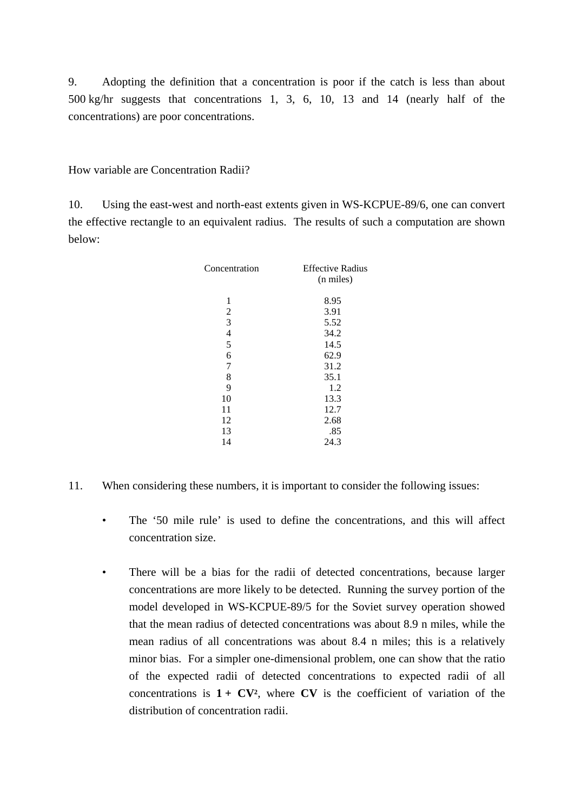9. Adopting the definition that a concentration is poor if the catch is less than about 500 kg/hr suggests that concentrations 1, 3, 6, 10, 13 and 14 (nearly half of the concentrations) are poor concentrations.

How variable are Concentration Radii?

10. Using the east-west and north-east extents given in WS-KCPUE-89/6, one can convert the effective rectangle to an equivalent radius. The results of such a computation are shown below:

| Concentration  | <b>Effective Radius</b><br>(n miles) |
|----------------|--------------------------------------|
| 1              | 8.95                                 |
| 2              | 3.91                                 |
| 3              | 5.52                                 |
| $\overline{4}$ | 34.2                                 |
| 5              | 14.5                                 |
| 6              | 62.9                                 |
| 7              | 31.2                                 |
| 8              | 35.1                                 |
| 9              | 1.2                                  |
| 10             | 13.3                                 |
| 11             | 12.7                                 |
| 12             | 2.68                                 |
| 13             | .85                                  |
| 14             | 24.3                                 |

- 11. When considering these numbers, it is important to consider the following issues:
	- The '50 mile rule' is used to define the concentrations, and this will affect concentration size.
	- There will be a bias for the radii of detected concentrations, because larger concentrations are more likely to be detected. Running the survey portion of the model developed in WS-KCPUE-89/5 for the Soviet survey operation showed that the mean radius of detected concentrations was about 8.9 n miles, while the mean radius of all concentrations was about 8.4 n miles; this is a relatively minor bias. For a simpler one-dimensional problem, one can show that the ratio of the expected radii of detected concentrations to expected radii of all concentrations is  $1 + CV^2$ , where CV is the coefficient of variation of the distribution of concentration radii.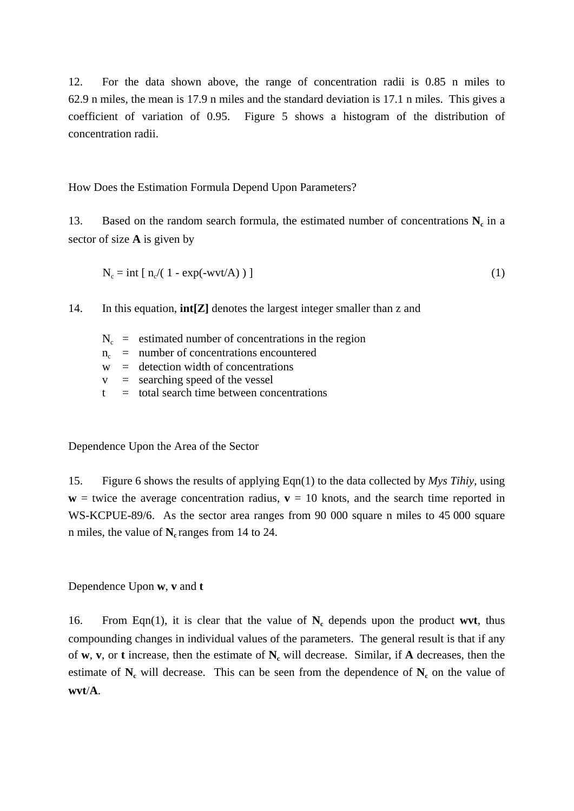12. For the data shown above, the range of concentration radii is 0.85 n miles to 62.9 n miles, the mean is 17.9 n miles and the standard deviation is 17.1 n miles. This gives a coefficient of variation of 0.95. Figure 5 shows a histogram of the distribution of concentration radii.

How Does the Estimation Formula Depend Upon Parameters?

13. Based on the random search formula, the estimated number of concentrations  $N_c$  in a sector of size **A** is given by

$$
N_c = int [ n_c/(1 - exp(-wvt/A)) ]
$$
 (1)

14. In this equation, **int[Z]** denotes the largest integer smaller than z and

- $N_c$  = estimated number of concentrations in the region
- $n_c$  = number of concentrations encountered
- $w =$  detection width of concentrations
- $v =$  searching speed of the vessel
- $t =$  total search time between concentrations

Dependence Upon the Area of the Sector

15. Figure 6 shows the results of applying Eqn(1) to the data collected by *Mys Tihiy*, using  $w =$  twice the average concentration radius,  $v = 10$  knots, and the search time reported in WS-KCPUE-89/6. As the sector area ranges from 90 000 square n miles to 45 000 square n miles, the value of **N**<sub>c</sub> ranges from 14 to 24.

Dependence Upon **w**, **v** and **t** 

16. From Eqn(1), it is clear that the value of  $N_c$  depends upon the product wvt, thus compounding changes in individual values of the parameters. The general result is that if any of **w**, **v**, or **t** increase, then the estimate of **Nc** will decrease. Similar, if **A** decreases, then the estimate of  $N_c$  will decrease. This can be seen from the dependence of  $N_c$  on the value of **wvt**/**A**.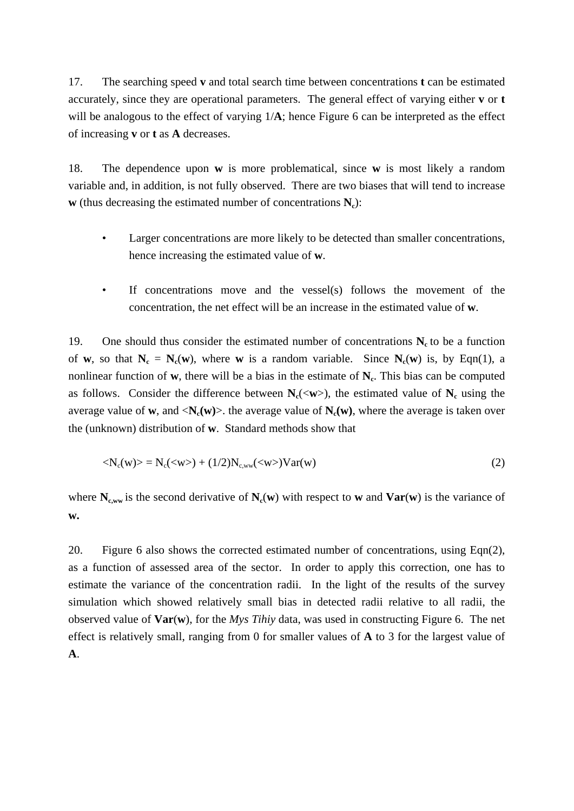17. The searching speed **v** and total search time between concentrations **t** can be estimated accurately, since they are operational parameters. The general effect of varying either **v** or **t** will be analogous to the effect of varying  $1/A$ ; hence Figure 6 can be interpreted as the effect of increasing **v** or **t** as **A** decreases.

18. The dependence upon **w** is more problematical, since **w** is most likely a random variable and, in addition, is not fully observed. There are two biases that will tend to increase **w** (thus decreasing the estimated number of concentrations  $N_c$ ):

- Larger concentrations are more likely to be detected than smaller concentrations, hence increasing the estimated value of **w**.
- If concentrations move and the vessel(s) follows the movement of the concentration, the net effect will be an increase in the estimated value of **w**.

19. One should thus consider the estimated number of concentrations  $N_c$  to be a function of **w**, so that  $N_c = N_c(w)$ , where **w** is a random variable. Since  $N_c(w)$  is, by Eqn(1), a nonlinear function of  $w$ , there will be a bias in the estimate of  $N_c$ . This bias can be computed as follows. Consider the difference between  $N_c(\langle w \rangle)$ , the estimated value of  $N_c$  using the average value of **w**, and  $\langle N_c(w) \rangle$ . the average value of  $N_c(w)$ , where the average is taken over the (unknown) distribution of **w**. Standard methods show that

$$
\langle N_c(w) \rangle = N_c(\langle w \rangle) + (1/2)N_{c,ww}(\langle w \rangle)Var(w)
$$
 (2)

where  $N_{c,ww}$  is the second derivative of  $N_c(w)$  with respect to **w** and  $Var(w)$  is the variance of **w.** 

20. Figure 6 also shows the corrected estimated number of concentrations, using Eqn(2), as a function of assessed area of the sector. In order to apply this correction, one has to estimate the variance of the concentration radii. In the light of the results of the survey simulation which showed relatively small bias in detected radii relative to all radii, the observed value of **Var**(**w**), for the *Mys Tihiy* data, was used in constructing Figure 6. The net effect is relatively small, ranging from 0 for smaller values of **A** to 3 for the largest value of **A**.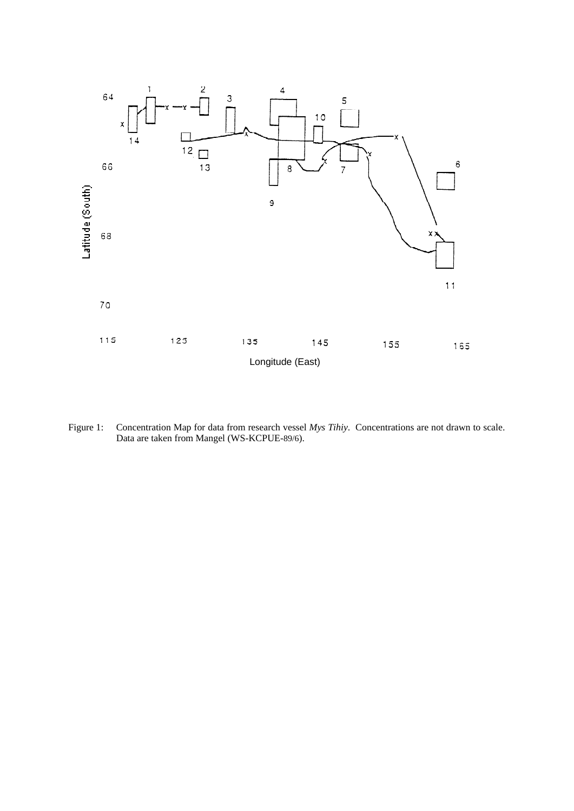

Figure 1: Concentration Map for data from research vessel *Mys Tihiy*. Concentrations are not drawn to scale. Data are taken from Mangel (WS-KCPUE-89/6).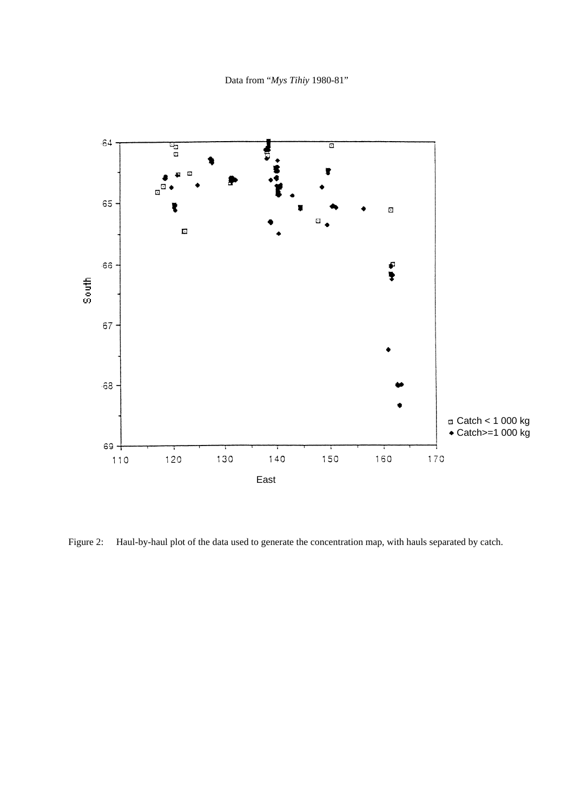Data from "*Mys Tihiy* 1980-81"



Figure 2: Haul-by-haul plot of the data used to generate the concentration map, with hauls separated by catch.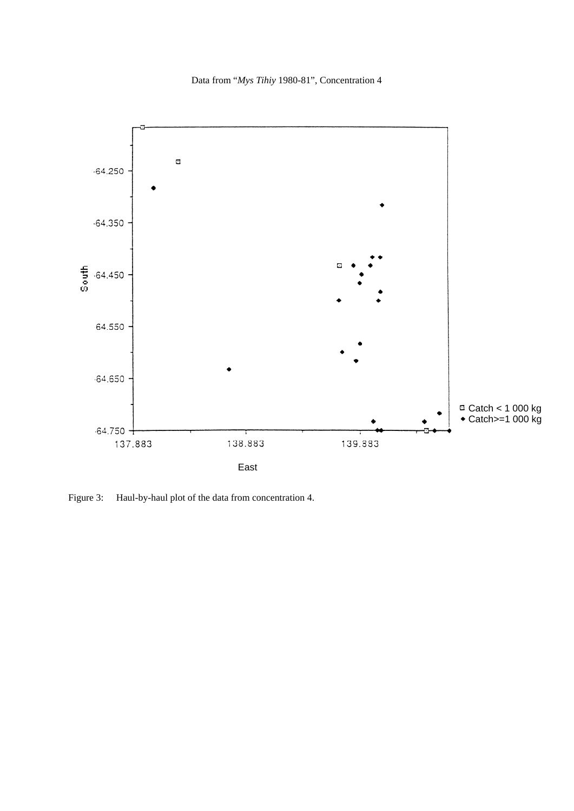Data from "*Mys Tihiy* 1980-81", Concentration 4



Figure 3: Haul-by-haul plot of the data from concentration 4.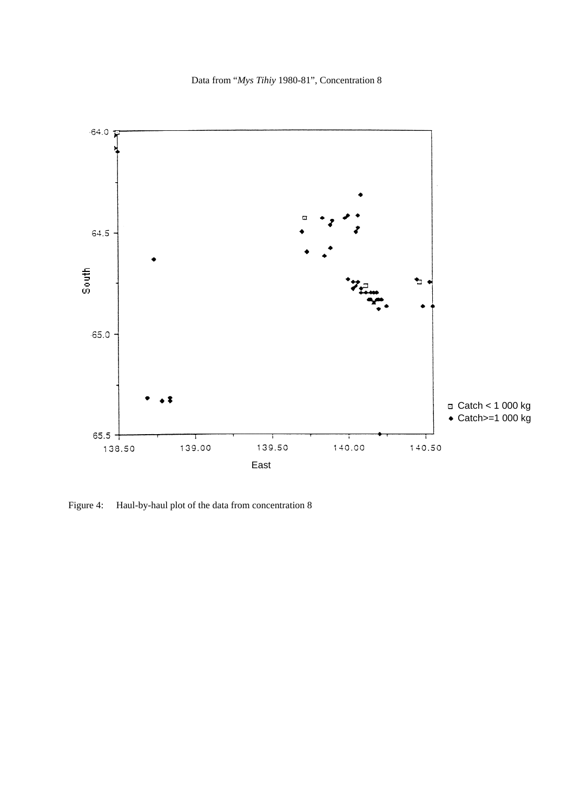Data from "*Mys Tihiy* 1980-81", Concentration 8



Figure 4: Haul-by-haul plot of the data from concentration 8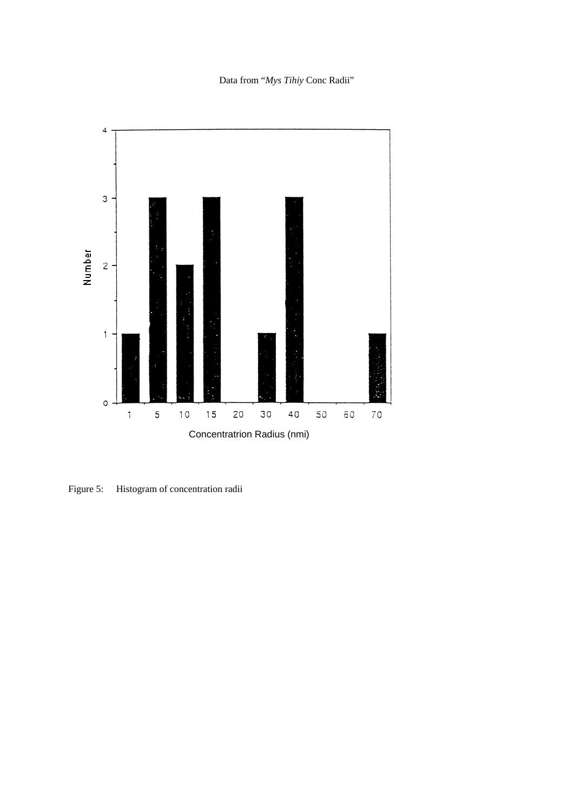Data from "*Mys Tihiy* Conc Radii"



Figure 5: Histogram of concentration radii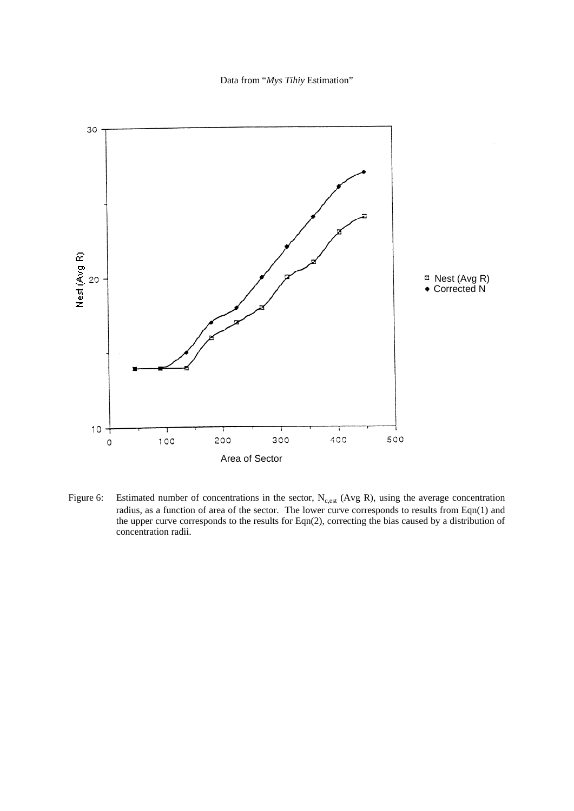Data from "*Mys Tihiy* Estimation"



Figure 6: Estimated number of concentrations in the sector,  $N_{c,est}$  (Avg R), using the average concentration radius, as a function of area of the sector. The lower curve corresponds to results from Eqn(1) and the upper curve corresponds to the results for Eqn(2), correcting the bias caused by a distribution of concentration radii.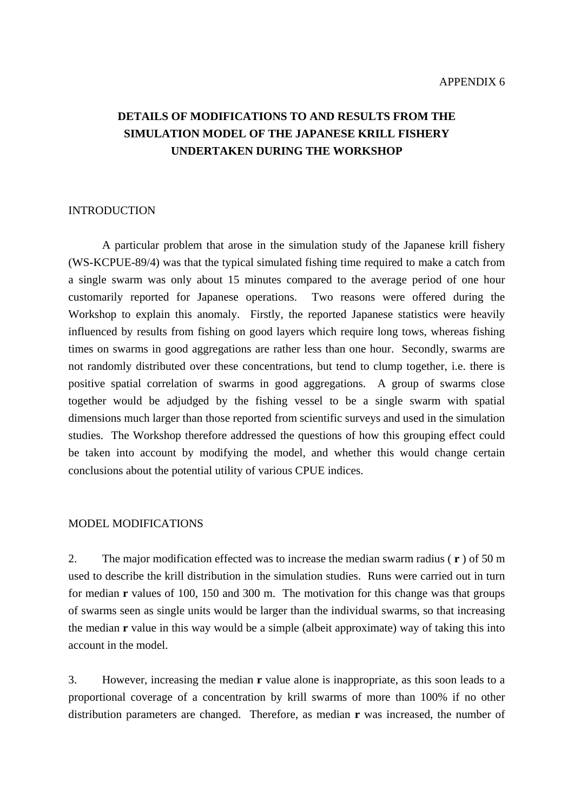# **DETAILS OF MODIFICATIONS TO AND RESULTS FROM THE SIMULATION MODEL OF THE JAPANESE KRILL FISHERY UNDERTAKEN DURING THE WORKSHOP**

### INTRODUCTION

 A particular problem that arose in the simulation study of the Japanese krill fishery (WS-KCPUE-89/4) was that the typical simulated fishing time required to make a catch from a single swarm was only about 15 minutes compared to the average period of one hour customarily reported for Japanese operations. Two reasons were offered during the Workshop to explain this anomaly. Firstly, the reported Japanese statistics were heavily influenced by results from fishing on good layers which require long tows, whereas fishing times on swarms in good aggregations are rather less than one hour. Secondly, swarms are not randomly distributed over these concentrations, but tend to clump together, i.e. there is positive spatial correlation of swarms in good aggregations. A group of swarms close together would be adjudged by the fishing vessel to be a single swarm with spatial dimensions much larger than those reported from scientific surveys and used in the simulation studies. The Workshop therefore addressed the questions of how this grouping effect could be taken into account by modifying the model, and whether this would change certain conclusions about the potential utility of various CPUE indices.

### MODEL MODIFICATIONS

2. The major modification effected was to increase the median swarm radius ( **r** ) of 50 m used to describe the krill distribution in the simulation studies. Runs were carried out in turn for median **r** values of 100, 150 and 300 m. The motivation for this change was that groups of swarms seen as single units would be larger than the individual swarms, so that increasing the median **r** value in this way would be a simple (albeit approximate) way of taking this into account in the model.

3. However, increasing the median **r** value alone is inappropriate, as this soon leads to a proportional coverage of a concentration by krill swarms of more than 100% if no other distribution parameters are changed. Therefore, as median **r** was increased, the number of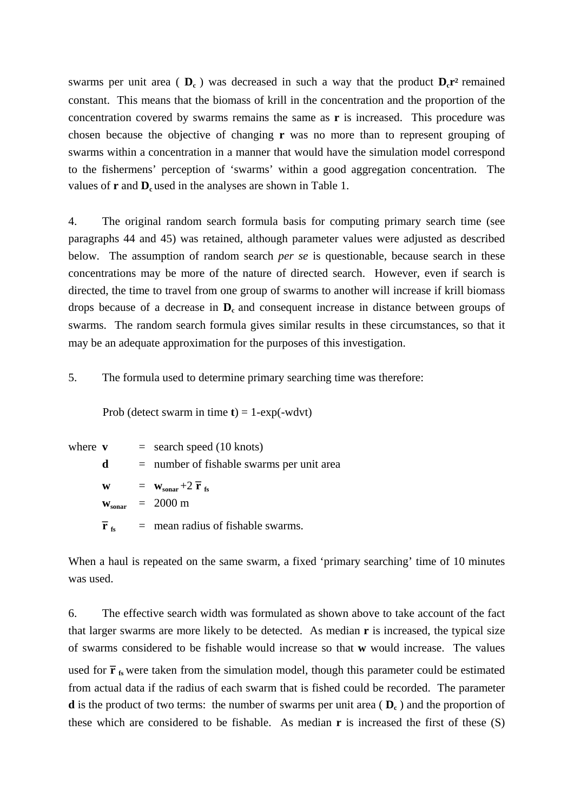swarms per unit area  $(\mathbf{D}_c)$  was decreased in such a way that the product  $\mathbf{D}_c\mathbf{r}^2$  remained constant. This means that the biomass of krill in the concentration and the proportion of the concentration covered by swarms remains the same as **r** is increased. This procedure was chosen because the objective of changing **r** was no more than to represent grouping of swarms within a concentration in a manner that would have the simulation model correspond to the fishermens' perception of 'swarms' within a good aggregation concentration. The values of  $\mathbf{r}$  and  $\mathbf{D}_{\rm c}$  used in the analyses are shown in Table 1.

4. The original random search formula basis for computing primary search time (see paragraphs 44 and 45) was retained, although parameter values were adjusted as described below. The assumption of random search *per se* is questionable, because search in these concentrations may be more of the nature of directed search. However, even if search is directed, the time to travel from one group of swarms to another will increase if krill biomass drops because of a decrease in  $D<sub>c</sub>$  and consequent increase in distance between groups of swarms. The random search formula gives similar results in these circumstances, so that it may be an adequate approximation for the purposes of this investigation.

5. The formula used to determine primary searching time was therefore:

Prob (detect swarm in time  $t$ ) = 1-exp(-wdvt)

where  $\mathbf{v}$  = search speed (10 knots) **d** = number of fishable swarms per unit area **w**  $=$  **w**<sub>sonar</sub> +2 **r \_ fs**  $w_{\text{sonar}} = 2000 \text{ m}$ **r \_**  $=$  mean radius of fishable swarms.

When a haul is repeated on the same swarm, a fixed 'primary searching' time of 10 minutes was used.

6. The effective search width was formulated as shown above to take account of the fact that larger swarms are more likely to be detected. As median **r** is increased, the typical size of swarms considered to be fishable would increase so that **w** would increase. The values used for **r \_ fs** were taken from the simulation model, though this parameter could be estimated from actual data if the radius of each swarm that is fished could be recorded. The parameter **d** is the product of two terms: the number of swarms per unit area  $(\mathbf{D}_c)$  and the proportion of these which are considered to be fishable. As median **r** is increased the first of these (S)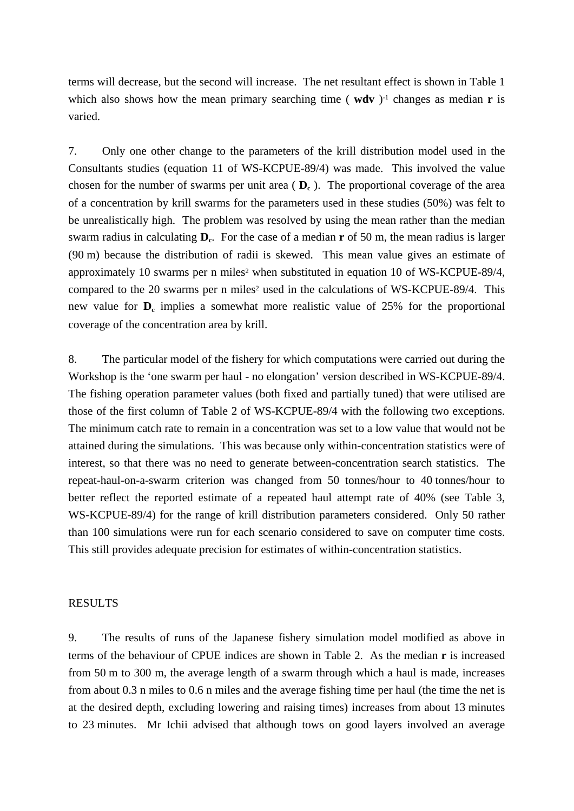terms will decrease, but the second will increase. The net resultant effect is shown in Table 1 which also shows how the mean primary searching time ( $wdv$ )<sup>-1</sup> changes as median **r** is varied.

7. Only one other change to the parameters of the krill distribution model used in the Consultants studies (equation 11 of WS-KCPUE-89/4) was made. This involved the value chosen for the number of swarms per unit area  $(\mathbf{D}_c)$ . The proportional coverage of the area of a concentration by krill swarms for the parameters used in these studies (50%) was felt to be unrealistically high. The problem was resolved by using the mean rather than the median swarm radius in calculating **D**<sub>c</sub>. For the case of a median **r** of 50 m, the mean radius is larger (90 m) because the distribution of radii is skewed. This mean value gives an estimate of approximately 10 swarms per n miles<sup>2</sup> when substituted in equation 10 of WS-KCPUE-89/4, compared to the 20 swarms per n miles<sup>2</sup> used in the calculations of WS-KCPUE-89/4. This new value for  $D_c$  implies a somewhat more realistic value of 25% for the proportional coverage of the concentration area by krill.

8. The particular model of the fishery for which computations were carried out during the Workshop is the 'one swarm per haul - no elongation' version described in WS-KCPUE-89/4. The fishing operation parameter values (both fixed and partially tuned) that were utilised are those of the first column of Table 2 of WS-KCPUE-89/4 with the following two exceptions. The minimum catch rate to remain in a concentration was set to a low value that would not be attained during the simulations. This was because only within-concentration statistics were of interest, so that there was no need to generate between-concentration search statistics. The repeat-haul-on-a-swarm criterion was changed from 50 tonnes/hour to 40 tonnes/hour to better reflect the reported estimate of a repeated haul attempt rate of 40% (see Table 3, WS-KCPUE-89/4) for the range of krill distribution parameters considered. Only 50 rather than 100 simulations were run for each scenario considered to save on computer time costs. This still provides adequate precision for estimates of within-concentration statistics.

#### RESULTS

9. The results of runs of the Japanese fishery simulation model modified as above in terms of the behaviour of CPUE indices are shown in Table 2. As the median **r** is increased from 50 m to 300 m, the average length of a swarm through which a haul is made, increases from about 0.3 n miles to 0.6 n miles and the average fishing time per haul (the time the net is at the desired depth, excluding lowering and raising times) increases from about 13 minutes to 23 minutes. Mr Ichii advised that although tows on good layers involved an average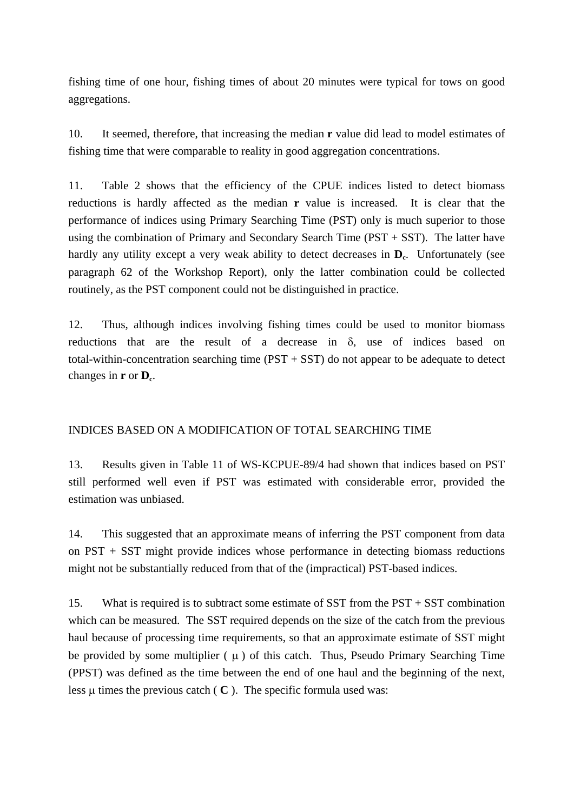fishing time of one hour, fishing times of about 20 minutes were typical for tows on good aggregations.

10. It seemed, therefore, that increasing the median **r** value did lead to model estimates of fishing time that were comparable to reality in good aggregation concentrations.

11. Table 2 shows that the efficiency of the CPUE indices listed to detect biomass reductions is hardly affected as the median **r** value is increased. It is clear that the performance of indices using Primary Searching Time (PST) only is much superior to those using the combination of Primary and Secondary Search Time ( $PST + SST$ ). The latter have hardly any utility except a very weak ability to detect decreases in  $D_c$ . Unfortunately (see paragraph 62 of the Workshop Report), only the latter combination could be collected routinely, as the PST component could not be distinguished in practice.

12. Thus, although indices involving fishing times could be used to monitor biomass reductions that are the result of a decrease in δ, use of indices based on total-within-concentration searching time  $(PST + SST)$  do not appear to be adequate to detect changes in  $\mathbf{r}$  or  $\mathbf{D}_{c}$ .

### INDICES BASED ON A MODIFICATION OF TOTAL SEARCHING TIME

13. Results given in Table 11 of WS-KCPUE-89/4 had shown that indices based on PST still performed well even if PST was estimated with considerable error, provided the estimation was unbiased.

14. This suggested that an approximate means of inferring the PST component from data on PST + SST might provide indices whose performance in detecting biomass reductions might not be substantially reduced from that of the (impractical) PST-based indices.

15. What is required is to subtract some estimate of SST from the PST + SST combination which can be measured. The SST required depends on the size of the catch from the previous haul because of processing time requirements, so that an approximate estimate of SST might be provided by some multiplier  $(\mu)$  of this catch. Thus, Pseudo Primary Searching Time (PPST) was defined as the time between the end of one haul and the beginning of the next, less  $\mu$  times the previous catch ( $\mathbf{C}$ ). The specific formula used was: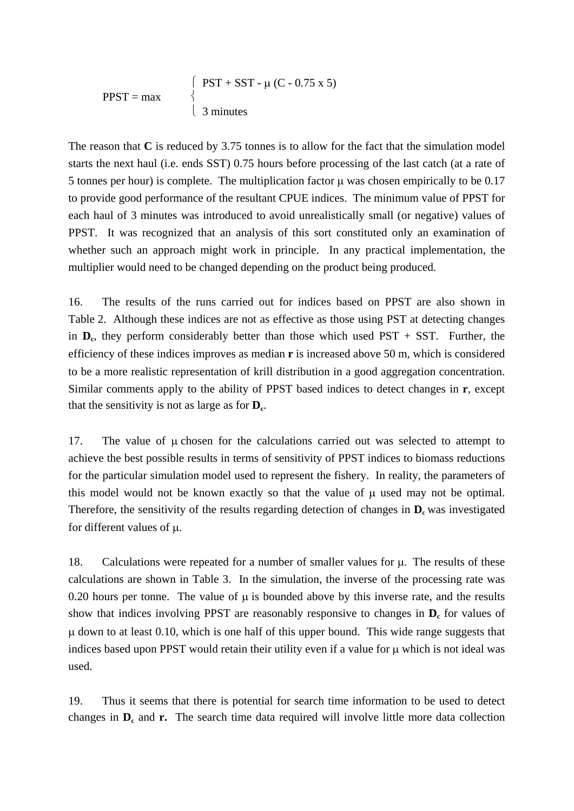$$
PPST = \max \qquad \begin{cases} \quad\n\text{PST} + \text{SST} - \mu \text{ (C - 0.75 x 5)} \\ \quad \text{3 minutes} \end{cases}
$$

The reason that **C** is reduced by 3.75 tonnes is to allow for the fact that the simulation model starts the next haul (i.e. ends SST) 0.75 hours before processing of the last catch (at a rate of 5 tonnes per hour) is complete. The multiplication factor  $\mu$  was chosen empirically to be 0.17 to provide good performance of the resultant CPUE indices. The minimum value of PPST for each haul of 3 minutes was introduced to avoid unrealistically small (or negative) values of PPST. It was recognized that an analysis of this sort constituted only an examination of whether such an approach might work in principle. In any practical implementation, the multiplier would need to be changed depending on the product being produced.

16. The results of the runs carried out for indices based on PPST are also shown in Table 2. Although these indices are not as effective as those using PST at detecting changes in  $D_c$ , they perform considerably better than those which used PST + SST. Further, the efficiency of these indices improves as median **r** is increased above 50 m, which is considered to be a more realistic representation of krill distribution in a good aggregation concentration. Similar comments apply to the ability of PPST based indices to detect changes in **r**, except that the sensitivity is not as large as for  $D_c$ .

17. The value of μ chosen for the calculations carried out was selected to attempt to achieve the best possible results in terms of sensitivity of PPST indices to biomass reductions for the particular simulation model used to represent the fishery. In reality, the parameters of this model would not be known exactly so that the value of μ used may not be optimal. Therefore, the sensitivity of the results regarding detection of changes in  $D_c$  was investigated for different values of μ.

18. Calculations were repeated for a number of smaller values for μ. The results of these calculations are shown in Table 3. In the simulation, the inverse of the processing rate was 0.20 hours per tonne. The value of  $\mu$  is bounded above by this inverse rate, and the results show that indices involving PPST are reasonably responsive to changes in  $D_c$  for values of μ down to at least 0.10, which is one half of this upper bound. This wide range suggests that indices based upon PPST would retain their utility even if a value for μ which is not ideal was used.

19. Thus it seems that there is potential for search time information to be used to detect changes in  $D_c$  and **r.** The search time data required will involve little more data collection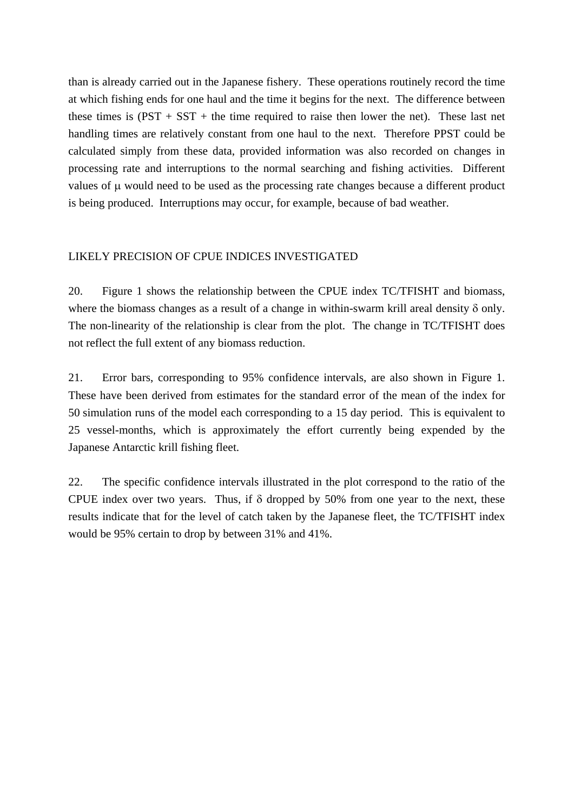than is already carried out in the Japanese fishery. These operations routinely record the time at which fishing ends for one haul and the time it begins for the next. The difference between these times is  $(PST + SST +$  the time required to raise then lower the net). These last net handling times are relatively constant from one haul to the next. Therefore PPST could be calculated simply from these data, provided information was also recorded on changes in processing rate and interruptions to the normal searching and fishing activities. Different values of μ would need to be used as the processing rate changes because a different product is being produced. Interruptions may occur, for example, because of bad weather.

### LIKELY PRECISION OF CPUE INDICES INVESTIGATED

20. Figure 1 shows the relationship between the CPUE index TC/TFISHT and biomass, where the biomass changes as a result of a change in within-swarm krill areal density  $\delta$  only. The non-linearity of the relationship is clear from the plot. The change in TC/TFISHT does not reflect the full extent of any biomass reduction.

21. Error bars, corresponding to 95% confidence intervals, are also shown in Figure 1. These have been derived from estimates for the standard error of the mean of the index for 50 simulation runs of the model each corresponding to a 15 day period. This is equivalent to 25 vessel-months, which is approximately the effort currently being expended by the Japanese Antarctic krill fishing fleet.

22. The specific confidence intervals illustrated in the plot correspond to the ratio of the CPUE index over two years. Thus, if  $\delta$  dropped by 50% from one year to the next, these results indicate that for the level of catch taken by the Japanese fleet, the TC/TFISHT index would be 95% certain to drop by between 31% and 41%.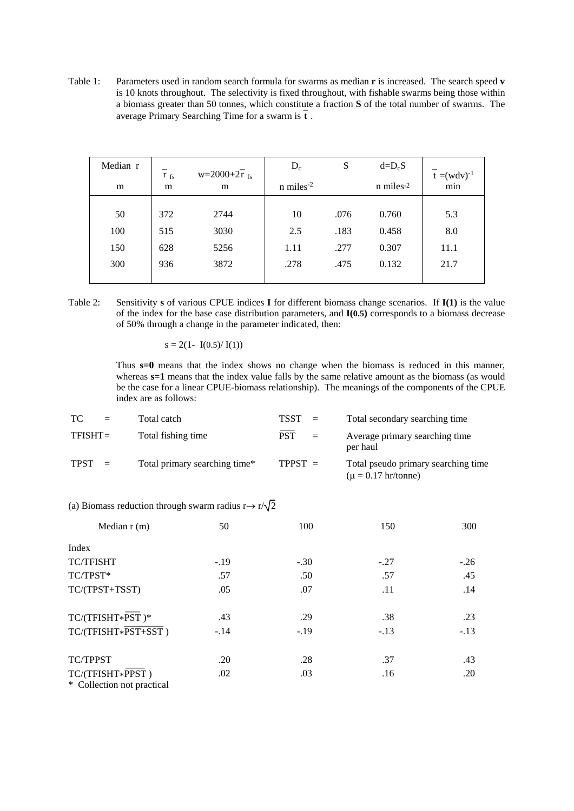Table 1: Parameters used in random search formula for swarms as median **r** is increased. The search speed **v** is 10 knots throughout. The selectivity is fixed throughout, with fishable swarms being those within a biomass greater than 50 tonnes, which constitute a fraction **S** of the total number of swarms. The **\_** average Primary Searching Time for a swarm is **t** .

| Median r | $r_{fs}$ | $w=2000+2\overline{r}_{fs}$ | $D_c$                   | S    | $d=DcS$   | $t = (wdv)^{-1}$ |
|----------|----------|-----------------------------|-------------------------|------|-----------|------------------|
| m        | m        | m                           | $n$ miles <sup>-2</sup> |      | n miles-2 | min              |
|          |          |                             |                         |      |           |                  |
| 50       | 372      | 2744                        | 10                      | .076 | 0.760     | 5.3              |
| 100      | 515      | 3030                        | 2.5                     | .183 | 0.458     | 8.0              |
| 150      | 628      | 5256                        | 1.11                    | .277 | 0.307     | 11.1             |
| 300      | 936      | 3872                        | .278                    | .475 | 0.132     | 21.7             |
|          |          |                             |                         |      |           |                  |

Table 2: Sensitivity **s** of various CPUE indices **I** for different biomass change scenarios. If **I(1)** is the value of the index for the base case distribution parameters, and **I(0.5)** corresponds to a biomass decrease of 50% through a change in the parameter indicated, then:

 $s = 2(1 - I(0.5)/ I(1))$ 

 Thus **s=0** means that the index shows no change when the biomass is reduced in this manner, whereas  $s=1$  means that the index value falls by the same relative amount as the biomass (as would be the case for a linear CPUE-biomass relationship). The meanings of the components of the CPUE index are as follows:

| TC.         | $=$                       | Total catch                   | $TSST =$   |          | Total secondary searching time                                 |
|-------------|---------------------------|-------------------------------|------------|----------|----------------------------------------------------------------|
| $TFISHT =$  |                           | Total fishing time            | <b>PST</b> | $\equiv$ | Average primary searching time<br>per haul                     |
| <b>TPST</b> | $\mathbf{r} = \mathbf{r}$ | Total primary searching time* | $TPPST =$  |          | Total pseudo primary searching time<br>$(\mu = 0.17$ hr/tonne) |

 $\overline{\phantom{a}}$ 

| (a) Biomass reduction through swarm radius $r \rightarrow r/\sqrt{2}$ |  |
|-----------------------------------------------------------------------|--|
|-----------------------------------------------------------------------|--|

| Median $r(m)$                                  | 50     | 100    | 150    | 300    |
|------------------------------------------------|--------|--------|--------|--------|
| Index                                          |        |        |        |        |
| <b>TC/TFISHT</b>                               | $-.19$ | $-.30$ | $-.27$ | $-.26$ |
| TC/TPST*                                       | .57    | .50    | .57    | .45    |
| TC/(TPST+TSST)                                 | .05    | .07    | .11    | .14    |
| TC/(TFISHT*PST)*                               | .43    | .29    | .38    | .23    |
| TC/(TFISHT*PST+SST)                            | $-.14$ | $-.19$ | $-.13$ | $-.13$ |
| <b>TC/TPPST</b>                                | .20    | .28    | .37    | .43    |
| TC/(TFISHT*PPST)<br>* Collection not practical | .02    | .03    | .16    | .20    |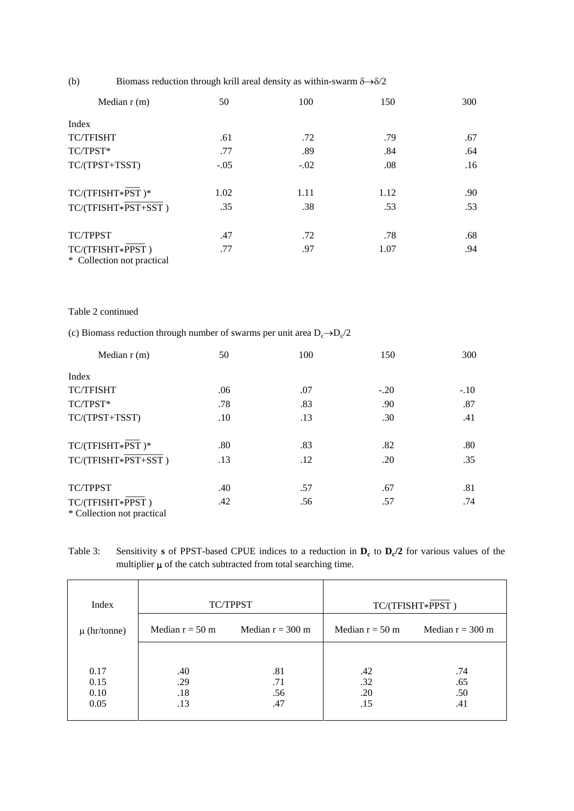(b) Biomass reduction through krill areal density as within-swarm  $\delta \rightarrow \delta/2$ 

| Median $r(m)$                                  | 50     | 100    | 150  | 300 |
|------------------------------------------------|--------|--------|------|-----|
| Index                                          |        |        |      |     |
| <b>TC/TFISHT</b>                               | .61    | .72    | .79  | .67 |
| TC/TPST*                                       | .77    | .89    | .84  | .64 |
| TC/(TPST+TSST)                                 | $-.05$ | $-.02$ | .08  | .16 |
| TC/(TFISHT*PST)*                               | 1.02   | 1.11   | 1.12 | .90 |
| $TC/(TFISHT*PST+SST)$                          | .35    | .38    | .53  | .53 |
| <b>TC/TPPST</b>                                | .47    | .72    | .78  | .68 |
| TC/(TFISHT*PPST)<br>* Collection not practical | .77    | .97    | 1.07 | .94 |

#### Table 2 continued

(c) Biomass reduction through number of swarms per unit area  $D_c \rightarrow D_c/2$ 

| Median $r(m)$                                  | 50  | 100 | 150    | 300    |
|------------------------------------------------|-----|-----|--------|--------|
| Index                                          |     |     |        |        |
| <b>TC/TFISHT</b>                               | .06 | .07 | $-.20$ | $-.10$ |
| TC/TPST*                                       | .78 | .83 | .90    | .87    |
| TC/(TPST+TSST)                                 | .10 | .13 | .30    | .41    |
| TC/(TFISHT*PST)*                               | .80 | .83 | .82    | .80    |
| TC/(TFISHT*PST+SST)                            | .13 | .12 | .20    | .35    |
| TC/TPPST                                       | .40 | .57 | .67    | .81    |
| TC/(TFISHT*PPST)<br>* Collection not practical | .42 | .56 | .57    | .74    |

Table 3: Sensitivity **s** of PPST-based CPUE indices to a reduction in  $D_c$  to  $D_c/2$  for various values of the multiplier  $\mu$  of the catch subtracted from total searching time.

| Index                        | TC/TPPST                 |                          | TC/(TFISHT*PPST)         |                          |
|------------------------------|--------------------------|--------------------------|--------------------------|--------------------------|
| $\mu$ (hr/tonne)             | Median $r = 50$ m        | Median $r = 300$ m       | Median $r = 50$ m        | Median $r = 300$ m       |
| 0.17<br>0.15<br>0.10<br>0.05 | .40<br>.29<br>.18<br>.13 | .81<br>.71<br>.56<br>.47 | .42<br>.32<br>.20<br>.15 | .74<br>.65<br>.50<br>.41 |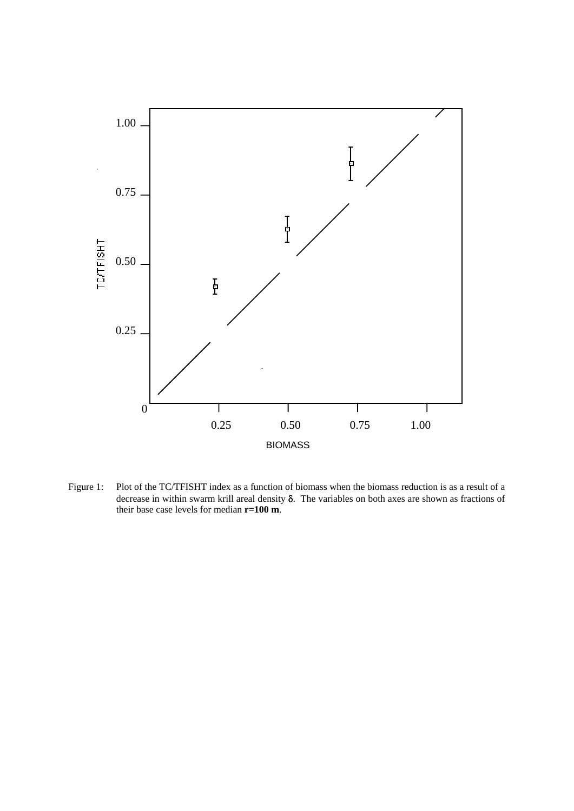

Figure 1: Plot of the TC/TFISHT index as a function of biomass when the biomass reduction is as a result of a decrease in within swarm krill areal density δ. The variables on both axes are shown as fractions of their base case levels for median **r=100 m**.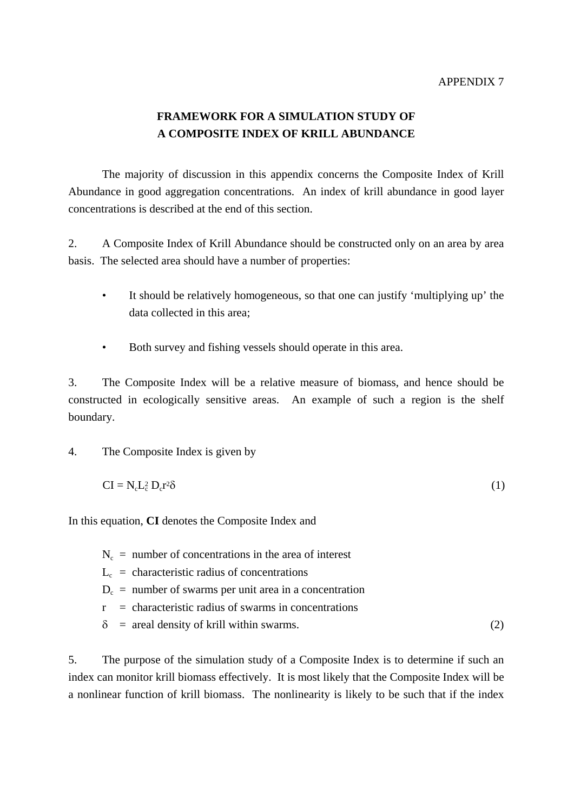### APPENDIX 7

# **FRAMEWORK FOR A SIMULATION STUDY OF A COMPOSITE INDEX OF KRILL ABUNDANCE**

 The majority of discussion in this appendix concerns the Composite Index of Krill Abundance in good aggregation concentrations. An index of krill abundance in good layer concentrations is described at the end of this section.

2. A Composite Index of Krill Abundance should be constructed only on an area by area basis. The selected area should have a number of properties:

- It should be relatively homogeneous, so that one can justify 'multiplying up' the data collected in this area;
- Both survey and fishing vessels should operate in this area.

3. The Composite Index will be a relative measure of biomass, and hence should be constructed in ecologically sensitive areas. An example of such a region is the shelf boundary.

4. The Composite Index is given by

$$
CI = N_c L_c^2 D_c r^2 \delta \tag{1}
$$

In this equation, **CI** denotes the Composite Index and

- $N_c$  = number of concentrations in the area of interest
- $L_c$  = characteristic radius of concentrations
- $D_c$  = number of swarms per unit area in a concentration
- $r =$  characteristic radius of swarms in concentrations
- $\delta$  = areal density of krill within swarms. (2)

5. The purpose of the simulation study of a Composite Index is to determine if such an index can monitor krill biomass effectively. It is most likely that the Composite Index will be a nonlinear function of krill biomass. The nonlinearity is likely to be such that if the index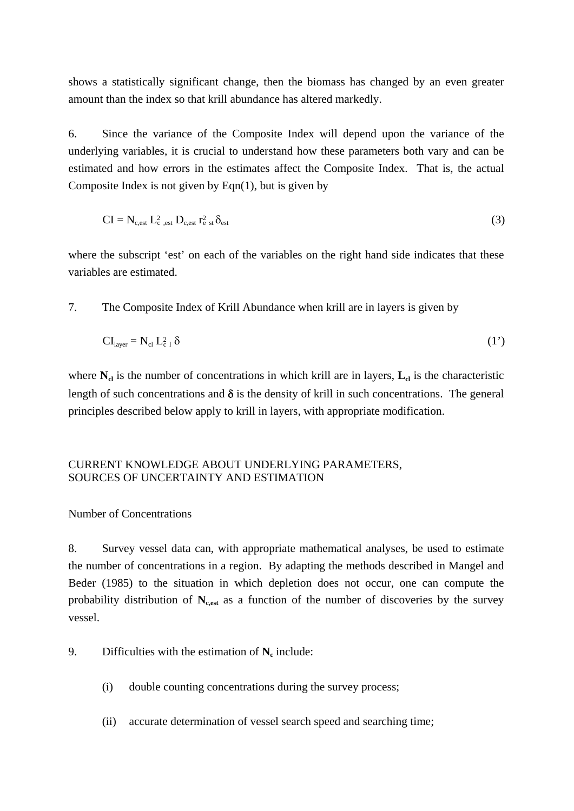shows a statistically significant change, then the biomass has changed by an even greater amount than the index so that krill abundance has altered markedly.

6. Since the variance of the Composite Index will depend upon the variance of the underlying variables, it is crucial to understand how these parameters both vary and can be estimated and how errors in the estimates affect the Composite Index. That is, the actual Composite Index is not given by Eqn(1), but is given by

$$
CI = N_{c,est} L_{c,est}^2 D_{c,est} r_{e,st}^2 \delta_{est}
$$
 (3)

where the subscript 'est' on each of the variables on the right hand side indicates that these variables are estimated.

7. The Composite Index of Krill Abundance when krill are in layers is given by

$$
CIlayer = Ncl Lc12 \delta
$$
 (1')

where  $N_{cl}$  is the number of concentrations in which krill are in layers,  $L_{cl}$  is the characteristic length of such concentrations and  $\delta$  is the density of krill in such concentrations. The general principles described below apply to krill in layers, with appropriate modification.

### CURRENT KNOWLEDGE ABOUT UNDERLYING PARAMETERS, SOURCES OF UNCERTAINTY AND ESTIMATION

### Number of Concentrations

8. Survey vessel data can, with appropriate mathematical analyses, be used to estimate the number of concentrations in a region. By adapting the methods described in Mangel and Beder (1985) to the situation in which depletion does not occur, one can compute the probability distribution of  $N_{\text{c,est}}$  as a function of the number of discoveries by the survey vessel.

- 9. Difficulties with the estimation of  $N_c$  include:
	- (i) double counting concentrations during the survey process;
	- (ii) accurate determination of vessel search speed and searching time;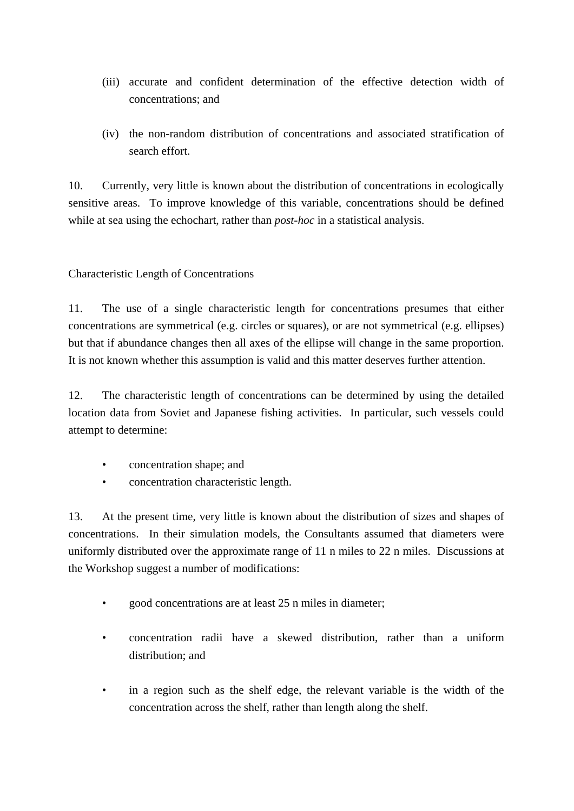- (iii) accurate and confident determination of the effective detection width of concentrations; and
- (iv) the non-random distribution of concentrations and associated stratification of search effort.

10. Currently, very little is known about the distribution of concentrations in ecologically sensitive areas. To improve knowledge of this variable, concentrations should be defined while at sea using the echochart, rather than *post-hoc* in a statistical analysis.

Characteristic Length of Concentrations

11. The use of a single characteristic length for concentrations presumes that either concentrations are symmetrical (e.g. circles or squares), or are not symmetrical (e.g. ellipses) but that if abundance changes then all axes of the ellipse will change in the same proportion. It is not known whether this assumption is valid and this matter deserves further attention.

12. The characteristic length of concentrations can be determined by using the detailed location data from Soviet and Japanese fishing activities. In particular, such vessels could attempt to determine:

- concentration shape; and
- concentration characteristic length.

13. At the present time, very little is known about the distribution of sizes and shapes of concentrations. In their simulation models, the Consultants assumed that diameters were uniformly distributed over the approximate range of 11 n miles to 22 n miles. Discussions at the Workshop suggest a number of modifications:

- good concentrations are at least 25 n miles in diameter;
- concentration radii have a skewed distribution, rather than a uniform distribution; and
- in a region such as the shelf edge, the relevant variable is the width of the concentration across the shelf, rather than length along the shelf.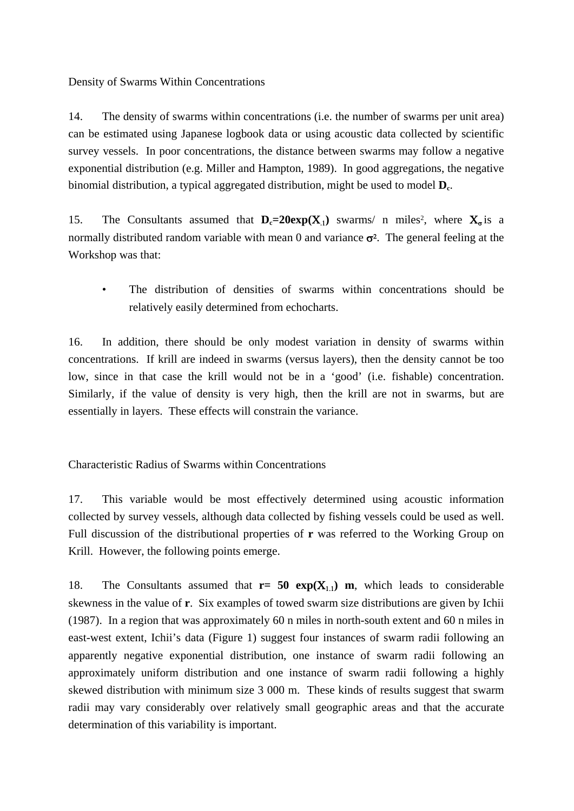Density of Swarms Within Concentrations

14. The density of swarms within concentrations (i.e. the number of swarms per unit area) can be estimated using Japanese logbook data or using acoustic data collected by scientific survey vessels. In poor concentrations, the distance between swarms may follow a negative exponential distribution (e.g. Miller and Hampton, 1989). In good aggregations, the negative binomial distribution, a typical aggregated distribution, might be used to model  $D_c$ .

15. The Consultants assumed that  $D_c=20exp(X_1)$  swarms/ n miles<sup>2</sup>, where  $X_{\sigma}$  is a normally distributed random variable with mean 0 and variance  $\sigma^2$ . The general feeling at the Workshop was that:

• The distribution of densities of swarms within concentrations should be relatively easily determined from echocharts.

16. In addition, there should be only modest variation in density of swarms within concentrations. If krill are indeed in swarms (versus layers), then the density cannot be too low, since in that case the krill would not be in a 'good' (i.e. fishable) concentration. Similarly, if the value of density is very high, then the krill are not in swarms, but are essentially in layers. These effects will constrain the variance.

Characteristic Radius of Swarms within Concentrations

17. This variable would be most effectively determined using acoustic information collected by survey vessels, although data collected by fishing vessels could be used as well. Full discussion of the distributional properties of **r** was referred to the Working Group on Krill. However, the following points emerge.

18. The Consultants assumed that  $r = 50 \exp(X_{1,1})$  m, which leads to considerable skewness in the value of **r**. Six examples of towed swarm size distributions are given by Ichii (1987). In a region that was approximately 60 n miles in north-south extent and 60 n miles in east-west extent, Ichii's data (Figure 1) suggest four instances of swarm radii following an apparently negative exponential distribution, one instance of swarm radii following an approximately uniform distribution and one instance of swarm radii following a highly skewed distribution with minimum size 3 000 m. These kinds of results suggest that swarm radii may vary considerably over relatively small geographic areas and that the accurate determination of this variability is important.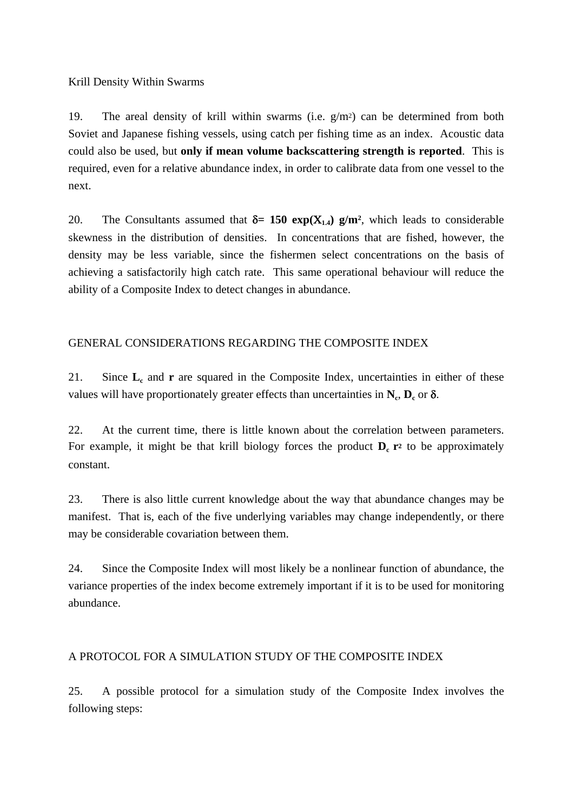Krill Density Within Swarms

19. The areal density of krill within swarms (i.e. g/m2) can be determined from both Soviet and Japanese fishing vessels, using catch per fishing time as an index. Acoustic data could also be used, but **only if mean volume backscattering strength is reported**. This is required, even for a relative abundance index, in order to calibrate data from one vessel to the next.

20. The Consultants assumed that  $\delta = 150 \exp(X_{1,4}) \sin^2(X_{1,4})$  which leads to considerable skewness in the distribution of densities. In concentrations that are fished, however, the density may be less variable, since the fishermen select concentrations on the basis of achieving a satisfactorily high catch rate. This same operational behaviour will reduce the ability of a Composite Index to detect changes in abundance.

## GENERAL CONSIDERATIONS REGARDING THE COMPOSITE INDEX

21. Since **L**<sub>c</sub> and **r** are squared in the Composite Index, uncertainties in either of these values will have proportionately greater effects than uncertainties in  $N_c$ ,  $D_c$  or  $\delta$ .

22. At the current time, there is little known about the correlation between parameters. For example, it might be that krill biology forces the product  $D_c$   $\mathbf{r}^2$  to be approximately constant.

23. There is also little current knowledge about the way that abundance changes may be manifest. That is, each of the five underlying variables may change independently, or there may be considerable covariation between them.

24. Since the Composite Index will most likely be a nonlinear function of abundance, the variance properties of the index become extremely important if it is to be used for monitoring abundance.

## A PROTOCOL FOR A SIMULATION STUDY OF THE COMPOSITE INDEX

25. A possible protocol for a simulation study of the Composite Index involves the following steps: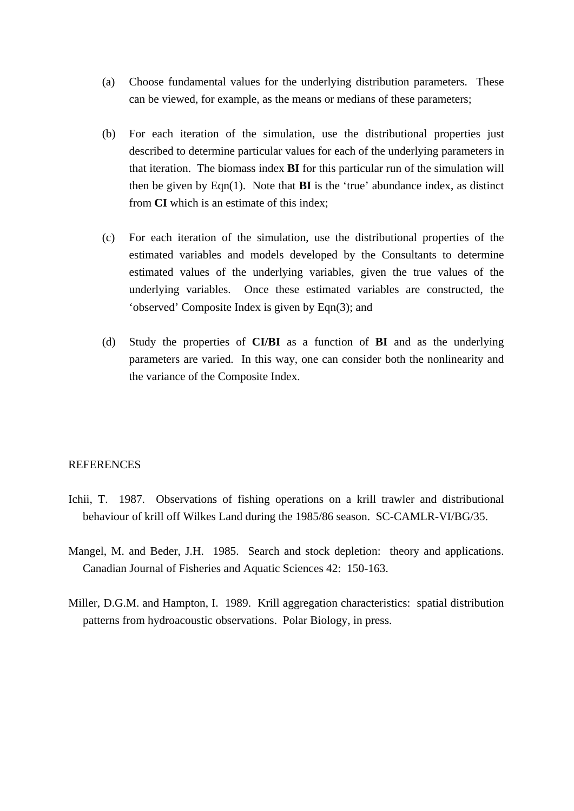- (a) Choose fundamental values for the underlying distribution parameters. These can be viewed, for example, as the means or medians of these parameters;
- (b) For each iteration of the simulation, use the distributional properties just described to determine particular values for each of the underlying parameters in that iteration. The biomass index **BI** for this particular run of the simulation will then be given by  $Eqn(1)$ . Note that **BI** is the 'true' abundance index, as distinct from **CI** which is an estimate of this index;
- (c) For each iteration of the simulation, use the distributional properties of the estimated variables and models developed by the Consultants to determine estimated values of the underlying variables, given the true values of the underlying variables. Once these estimated variables are constructed, the 'observed' Composite Index is given by Eqn(3); and
- (d) Study the properties of **CI/BI** as a function of **BI** and as the underlying parameters are varied. In this way, one can consider both the nonlinearity and the variance of the Composite Index.

#### REFERENCES

- Ichii, T. 1987. Observations of fishing operations on a krill trawler and distributional behaviour of krill off Wilkes Land during the 1985/86 season. SC-CAMLR-VI/BG/35.
- Mangel, M. and Beder, J.H. 1985. Search and stock depletion: theory and applications. Canadian Journal of Fisheries and Aquatic Sciences 42: 150-163.
- Miller, D.G.M. and Hampton, I. 1989. Krill aggregation characteristics: spatial distribution patterns from hydroacoustic observations. Polar Biology, in press.